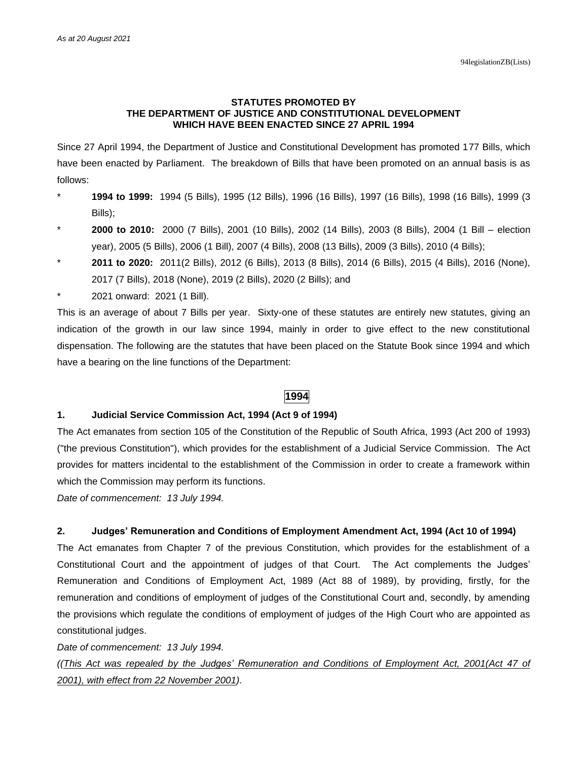## **STATUTES PROMOTED BY THE DEPARTMENT OF JUSTICE AND CONSTITUTIONAL DEVELOPMENT WHICH HAVE BEEN ENACTED SINCE 27 APRIL 1994**

Since 27 April 1994, the Department of Justice and Constitutional Development has promoted 177 Bills, which have been enacted by Parliament. The breakdown of Bills that have been promoted on an annual basis is as follows:

- \* **1994 to 1999:** 1994 (5 Bills), 1995 (12 Bills), 1996 (16 Bills), 1997 (16 Bills), 1998 (16 Bills), 1999 (3 Bills);
- \* **2000 to 2010:** 2000 (7 Bills), 2001 (10 Bills), 2002 (14 Bills), 2003 (8 Bills), 2004 (1 Bill election year), 2005 (5 Bills), 2006 (1 Bill), 2007 (4 Bills), 2008 (13 Bills), 2009 (3 Bills), 2010 (4 Bills);
- \* **2011 to 2020:** 2011(2 Bills), 2012 (6 Bills), 2013 (8 Bills), 2014 (6 Bills), 2015 (4 Bills), 2016 (None), 2017 (7 Bills), 2018 (None), 2019 (2 Bills), 2020 (2 Bills); and
- 2021 onward: 2021 (1 Bill).

This is an average of about 7 Bills per year. Sixty-one of these statutes are entirely new statutes, giving an indication of the growth in our law since 1994, mainly in order to give effect to the new constitutional dispensation. The following are the statutes that have been placed on the Statute Book since 1994 and which have a bearing on the line functions of the Department:

# **1994**

## **1. Judicial Service Commission Act, 1994 (Act 9 of 1994)**

The Act emanates from section 105 of the Constitution of the Republic of South Africa, 1993 (Act 200 of 1993) ("the previous Constitution"), which provides for the establishment of a Judicial Service Commission. The Act provides for matters incidental to the establishment of the Commission in order to create a framework within which the Commission may perform its functions.

*Date of commencement: 13 July 1994.*

# **2. Judges' Remuneration and Conditions of Employment Amendment Act, 1994 (Act 10 of 1994)**

The Act emanates from Chapter 7 of the previous Constitution, which provides for the establishment of a Constitutional Court and the appointment of judges of that Court. The Act complements the Judges' Remuneration and Conditions of Employment Act, 1989 (Act 88 of 1989), by providing, firstly, for the remuneration and conditions of employment of judges of the Constitutional Court and, secondly, by amending the provisions which regulate the conditions of employment of judges of the High Court who are appointed as constitutional judges.

*Date of commencement: 13 July 1994.*

*((This Act was repealed by the Judges' Remuneration and Conditions of Employment Act, 2001(Act 47 of 2001), with effect from 22 November 2001).*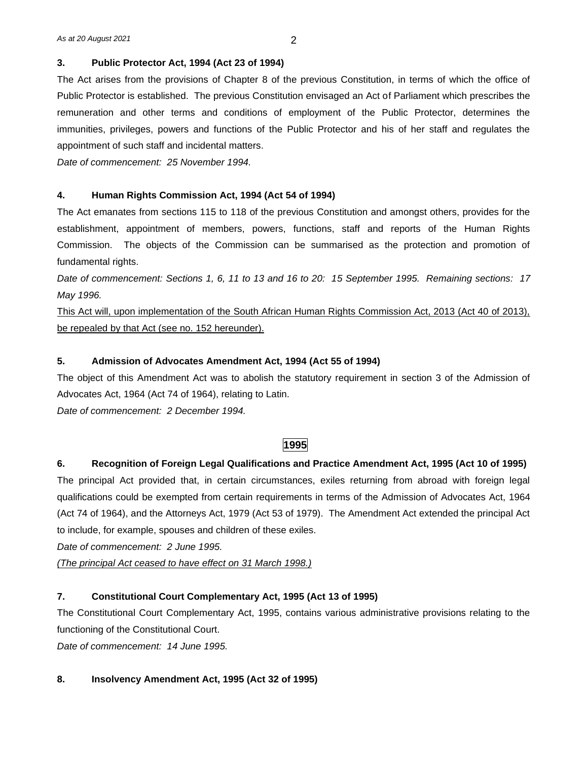# **3. Public Protector Act, 1994 (Act 23 of 1994)**

The Act arises from the provisions of Chapter 8 of the previous Constitution, in terms of which the office of Public Protector is established. The previous Constitution envisaged an Act of Parliament which prescribes the remuneration and other terms and conditions of employment of the Public Protector, determines the immunities, privileges, powers and functions of the Public Protector and his of her staff and regulates the appointment of such staff and incidental matters.

*Date of commencement: 25 November 1994.*

# **4. Human Rights Commission Act, 1994 (Act 54 of 1994)**

The Act emanates from sections 115 to 118 of the previous Constitution and amongst others, provides for the establishment, appointment of members, powers, functions, staff and reports of the Human Rights Commission. The objects of the Commission can be summarised as the protection and promotion of fundamental rights.

*Date of commencement: Sections 1, 6, 11 to 13 and 16 to 20: 15 September 1995. Remaining sections: 17 May 1996.*

This Act will, upon implementation of the South African Human Rights Commission Act, 2013 (Act 40 of 2013), be repealed by that Act (see no. 152 hereunder).

# **5. Admission of Advocates Amendment Act, 1994 (Act 55 of 1994)**

The object of this Amendment Act was to abolish the statutory requirement in section 3 of the Admission of Advocates Act, 1964 (Act 74 of 1964), relating to Latin.

*Date of commencement: 2 December 1994.*

# **1995**

# **6. Recognition of Foreign Legal Qualifications and Practice Amendment Act, 1995 (Act 10 of 1995)**

The principal Act provided that, in certain circumstances, exiles returning from abroad with foreign legal qualifications could be exempted from certain requirements in terms of the Admission of Advocates Act, 1964 (Act 74 of 1964), and the Attorneys Act, 1979 (Act 53 of 1979). The Amendment Act extended the principal Act to include, for example, spouses and children of these exiles.

*Date of commencement: 2 June 1995.*

*(The principal Act ceased to have effect on 31 March 1998.)*

# **7. Constitutional Court Complementary Act, 1995 (Act 13 of 1995)**

The Constitutional Court Complementary Act, 1995, contains various administrative provisions relating to the functioning of the Constitutional Court.

*Date of commencement: 14 June 1995.*

# **8. Insolvency Amendment Act, 1995 (Act 32 of 1995)**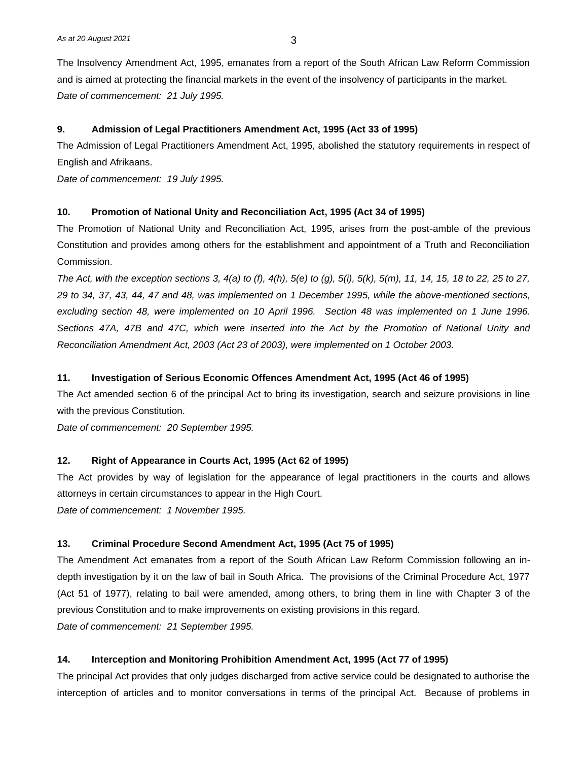The Insolvency Amendment Act, 1995, emanates from a report of the South African Law Reform Commission and is aimed at protecting the financial markets in the event of the insolvency of participants in the market. *Date of commencement: 21 July 1995.*

# **9. Admission of Legal Practitioners Amendment Act, 1995 (Act 33 of 1995)**

The Admission of Legal Practitioners Amendment Act, 1995, abolished the statutory requirements in respect of English and Afrikaans.

*Date of commencement: 19 July 1995.*

# **10. Promotion of National Unity and Reconciliation Act, 1995 (Act 34 of 1995)**

The Promotion of National Unity and Reconciliation Act, 1995, arises from the post-amble of the previous Constitution and provides among others for the establishment and appointment of a Truth and Reconciliation Commission.

*The Act, with the exception sections 3, 4(a) to (f), 4(h), 5(e) to (g), 5(i), 5(k), 5(m), 11, 14, 15, 18 to 22, 25 to 27, 29 to 34, 37, 43, 44, 47 and 48, was implemented on 1 December 1995, while the above-mentioned sections, excluding section 48, were implemented on 10 April 1996. Section 48 was implemented on 1 June 1996. Sections 47A, 47B and 47C, which were inserted into the Act by the Promotion of National Unity and Reconciliation Amendment Act, 2003 (Act 23 of 2003), were implemented on 1 October 2003.* 

## **11. Investigation of Serious Economic Offences Amendment Act, 1995 (Act 46 of 1995)**

The Act amended section 6 of the principal Act to bring its investigation, search and seizure provisions in line with the previous Constitution.

*Date of commencement: 20 September 1995.*

# **12. Right of Appearance in Courts Act, 1995 (Act 62 of 1995)**

The Act provides by way of legislation for the appearance of legal practitioners in the courts and allows attorneys in certain circumstances to appear in the High Court.

*Date of commencement: 1 November 1995.*

#### **13. Criminal Procedure Second Amendment Act, 1995 (Act 75 of 1995)**

The Amendment Act emanates from a report of the South African Law Reform Commission following an indepth investigation by it on the law of bail in South Africa. The provisions of the Criminal Procedure Act, 1977 (Act 51 of 1977), relating to bail were amended, among others, to bring them in line with Chapter 3 of the previous Constitution and to make improvements on existing provisions in this regard. *Date of commencement: 21 September 1995.*

#### **14. Interception and Monitoring Prohibition Amendment Act, 1995 (Act 77 of 1995)**

The principal Act provides that only judges discharged from active service could be designated to authorise the interception of articles and to monitor conversations in terms of the principal Act. Because of problems in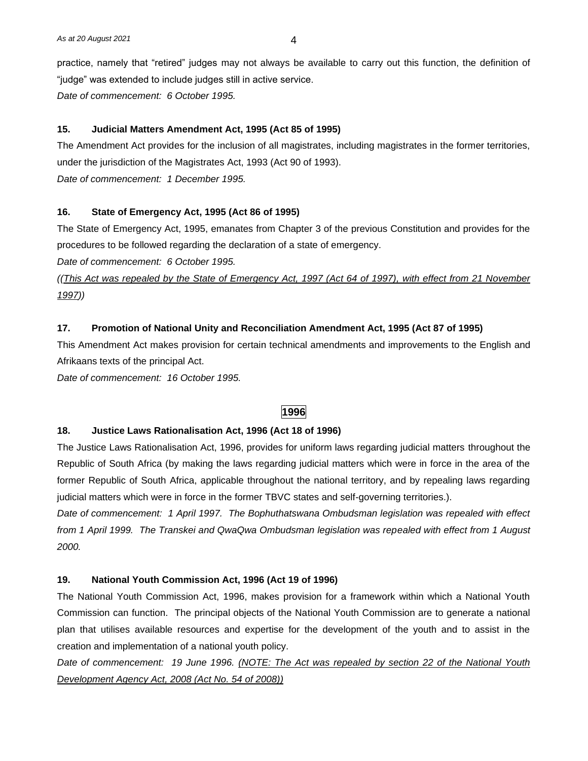practice, namely that "retired" judges may not always be available to carry out this function, the definition of "judge" was extended to include judges still in active service.

*Date of commencement: 6 October 1995.*

#### **15. Judicial Matters Amendment Act, 1995 (Act 85 of 1995)**

The Amendment Act provides for the inclusion of all magistrates, including magistrates in the former territories, under the jurisdiction of the Magistrates Act, 1993 (Act 90 of 1993). *Date of commencement: 1 December 1995.*

# **16. State of Emergency Act, 1995 (Act 86 of 1995)**

The State of Emergency Act, 1995, emanates from Chapter 3 of the previous Constitution and provides for the procedures to be followed regarding the declaration of a state of emergency.

*Date of commencement: 6 October 1995.* 

*((This Act was repealed by the State of Emergency Act, 1997 (Act 64 of 1997), with effect from 21 November 1997))*

#### **17. Promotion of National Unity and Reconciliation Amendment Act, 1995 (Act 87 of 1995)**

This Amendment Act makes provision for certain technical amendments and improvements to the English and Afrikaans texts of the principal Act.

*Date of commencement: 16 October 1995.*

# **1996**

#### **18. Justice Laws Rationalisation Act, 1996 (Act 18 of 1996)**

The Justice Laws Rationalisation Act, 1996, provides for uniform laws regarding judicial matters throughout the Republic of South Africa (by making the laws regarding judicial matters which were in force in the area of the former Republic of South Africa, applicable throughout the national territory, and by repealing laws regarding judicial matters which were in force in the former TBVC states and self-governing territories.).

*Date of commencement: 1 April 1997. The Bophuthatswana Ombudsman legislation was repealed with effect from 1 April 1999. The Transkei and QwaQwa Ombudsman legislation was repealed with effect from 1 August 2000.*

#### **19. National Youth Commission Act, 1996 (Act 19 of 1996)**

The National Youth Commission Act, 1996, makes provision for a framework within which a National Youth Commission can function. The principal objects of the National Youth Commission are to generate a national plan that utilises available resources and expertise for the development of the youth and to assist in the creation and implementation of a national youth policy.

*Date of commencement: 19 June 1996. (NOTE: The Act was repealed by section 22 of the National Youth Development Agency Act, 2008 (Act No. 54 of 2008))*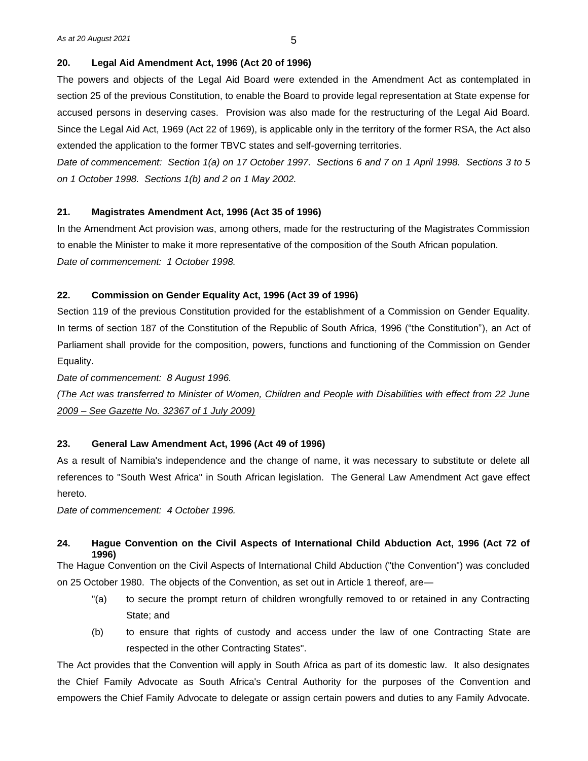# **20. Legal Aid Amendment Act, 1996 (Act 20 of 1996)**

The powers and objects of the Legal Aid Board were extended in the Amendment Act as contemplated in section 25 of the previous Constitution, to enable the Board to provide legal representation at State expense for accused persons in deserving cases. Provision was also made for the restructuring of the Legal Aid Board. Since the Legal Aid Act, 1969 (Act 22 of 1969), is applicable only in the territory of the former RSA, the Act also extended the application to the former TBVC states and self-governing territories.

*Date of commencement: Section 1(a) on 17 October 1997. Sections 6 and 7 on 1 April 1998. Sections 3 to 5 on 1 October 1998. Sections 1(b) and 2 on 1 May 2002.*

# **21. Magistrates Amendment Act, 1996 (Act 35 of 1996)**

In the Amendment Act provision was, among others, made for the restructuring of the Magistrates Commission to enable the Minister to make it more representative of the composition of the South African population. *Date of commencement: 1 October 1998.*

#### **22. Commission on Gender Equality Act, 1996 (Act 39 of 1996)**

Section 119 of the previous Constitution provided for the establishment of a Commission on Gender Equality. In terms of section 187 of the Constitution of the Republic of South Africa, 1996 ("the Constitution"), an Act of Parliament shall provide for the composition, powers, functions and functioning of the Commission on Gender Equality.

*Date of commencement: 8 August 1996.*

*(The Act was transferred to Minister of Women, Children and People with Disabilities with effect from 22 June 2009 – See Gazette No. 32367 of 1 July 2009)*

#### **23. General Law Amendment Act, 1996 (Act 49 of 1996)**

As a result of Namibia's independence and the change of name, it was necessary to substitute or delete all references to "South West Africa" in South African legislation. The General Law Amendment Act gave effect hereto.

*Date of commencement: 4 October 1996.*

# **24. Hague Convention on the Civil Aspects of International Child Abduction Act, 1996 (Act 72 of 1996)**

The Hague Convention on the Civil Aspects of International Child Abduction ("the Convention") was concluded on 25 October 1980. The objects of the Convention, as set out in Article 1 thereof, are—

- "(a) to secure the prompt return of children wrongfully removed to or retained in any Contracting State; and
- (b) to ensure that rights of custody and access under the law of one Contracting State are respected in the other Contracting States".

The Act provides that the Convention will apply in South Africa as part of its domestic law. It also designates the Chief Family Advocate as South Africa's Central Authority for the purposes of the Convention and empowers the Chief Family Advocate to delegate or assign certain powers and duties to any Family Advocate.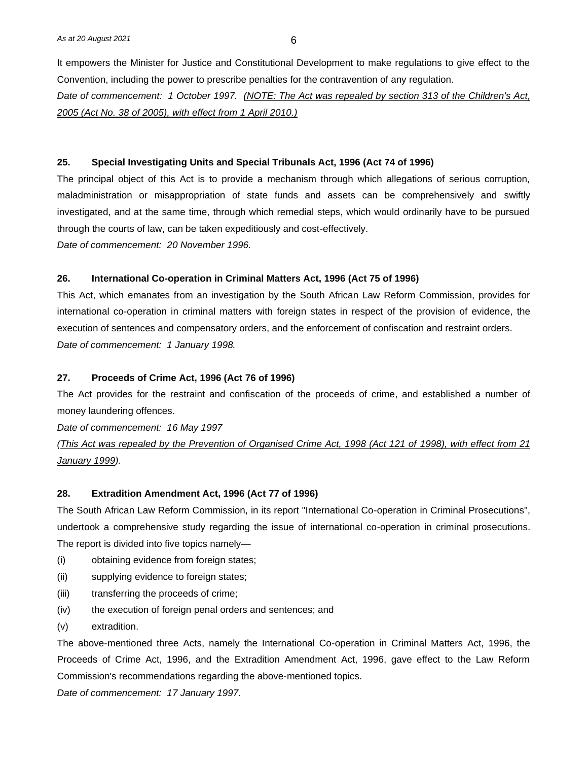It empowers the Minister for Justice and Constitutional Development to make regulations to give effect to the Convention, including the power to prescribe penalties for the contravention of any regulation. *Date of commencement: 1 October 1997. (NOTE: The Act was repealed by section 313 of the Children's Act, 2005 (Act No. 38 of 2005), with effect from 1 April 2010.)*

#### **25. Special Investigating Units and Special Tribunals Act, 1996 (Act 74 of 1996)**

The principal object of this Act is to provide a mechanism through which allegations of serious corruption, maladministration or misappropriation of state funds and assets can be comprehensively and swiftly investigated, and at the same time, through which remedial steps, which would ordinarily have to be pursued through the courts of law, can be taken expeditiously and cost-effectively.

*Date of commencement: 20 November 1996.*

#### **26. International Co-operation in Criminal Matters Act, 1996 (Act 75 of 1996)**

This Act, which emanates from an investigation by the South African Law Reform Commission, provides for international co-operation in criminal matters with foreign states in respect of the provision of evidence, the execution of sentences and compensatory orders, and the enforcement of confiscation and restraint orders. *Date of commencement: 1 January 1998.*

### **27. Proceeds of Crime Act, 1996 (Act 76 of 1996)**

The Act provides for the restraint and confiscation of the proceeds of crime, and established a number of money laundering offences.

*Date of commencement: 16 May 1997*

*(This Act was repealed by the Prevention of Organised Crime Act, 1998 (Act 121 of 1998), with effect from 21 January 1999).*

#### **28. Extradition Amendment Act, 1996 (Act 77 of 1996)**

The South African Law Reform Commission, in its report "International Co-operation in Criminal Prosecutions", undertook a comprehensive study regarding the issue of international co-operation in criminal prosecutions. The report is divided into five topics namely—

- (i) obtaining evidence from foreign states;
- (ii) supplying evidence to foreign states;
- (iii) transferring the proceeds of crime;
- (iv) the execution of foreign penal orders and sentences; and
- (v) extradition.

The above-mentioned three Acts, namely the International Co-operation in Criminal Matters Act, 1996, the Proceeds of Crime Act, 1996, and the Extradition Amendment Act, 1996, gave effect to the Law Reform Commission's recommendations regarding the above-mentioned topics.

*Date of commencement: 17 January 1997.*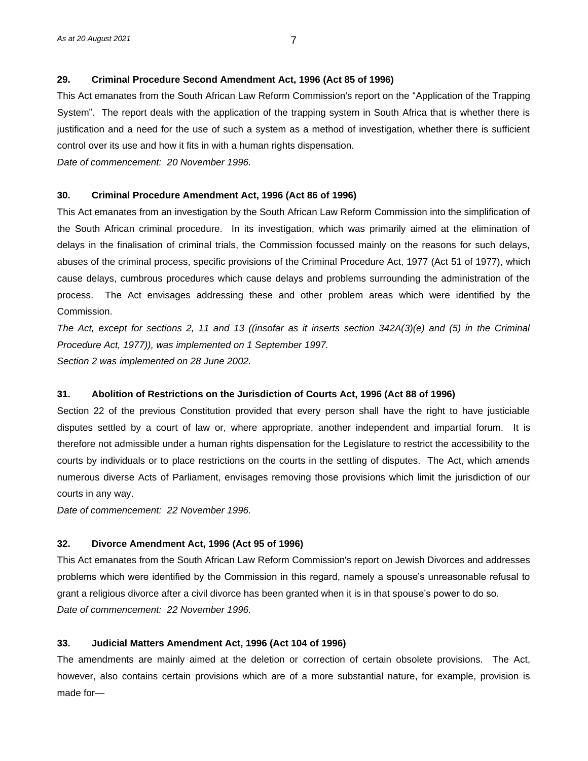# **29. Criminal Procedure Second Amendment Act, 1996 (Act 85 of 1996)**

This Act emanates from the South African Law Reform Commission's report on the "Application of the Trapping System". The report deals with the application of the trapping system in South Africa that is whether there is justification and a need for the use of such a system as a method of investigation, whether there is sufficient control over its use and how it fits in with a human rights dispensation.

*Date of commencement: 20 November 1996.*

#### **30. Criminal Procedure Amendment Act, 1996 (Act 86 of 1996)**

This Act emanates from an investigation by the South African Law Reform Commission into the simplification of the South African criminal procedure. In its investigation, which was primarily aimed at the elimination of delays in the finalisation of criminal trials, the Commission focussed mainly on the reasons for such delays, abuses of the criminal process, specific provisions of the Criminal Procedure Act, 1977 (Act 51 of 1977), which cause delays, cumbrous procedures which cause delays and problems surrounding the administration of the process. The Act envisages addressing these and other problem areas which were identified by the Commission.

*The Act, except for sections 2, 11 and 13 ((insofar as it inserts section 342A(3)(e) and (5) in the Criminal Procedure Act, 1977)), was implemented on 1 September 1997. Section 2 was implemented on 28 June 2002.*

# **31. Abolition of Restrictions on the Jurisdiction of Courts Act, 1996 (Act 88 of 1996)**

Section 22 of the previous Constitution provided that every person shall have the right to have justiciable disputes settled by a court of law or, where appropriate, another independent and impartial forum. It is therefore not admissible under a human rights dispensation for the Legislature to restrict the accessibility to the courts by individuals or to place restrictions on the courts in the settling of disputes. The Act, which amends numerous diverse Acts of Parliament, envisages removing those provisions which limit the jurisdiction of our courts in any way.

*Date of commencement: 22 November 1996.*

# **32. Divorce Amendment Act, 1996 (Act 95 of 1996)**

This Act emanates from the South African Law Reform Commission's report on Jewish Divorces and addresses problems which were identified by the Commission in this regard, namely a spouse's unreasonable refusal to grant a religious divorce after a civil divorce has been granted when it is in that spouse's power to do so. *Date of commencement: 22 November 1996.*

#### **33. Judicial Matters Amendment Act, 1996 (Act 104 of 1996)**

The amendments are mainly aimed at the deletion or correction of certain obsolete provisions. The Act, however, also contains certain provisions which are of a more substantial nature, for example, provision is made for—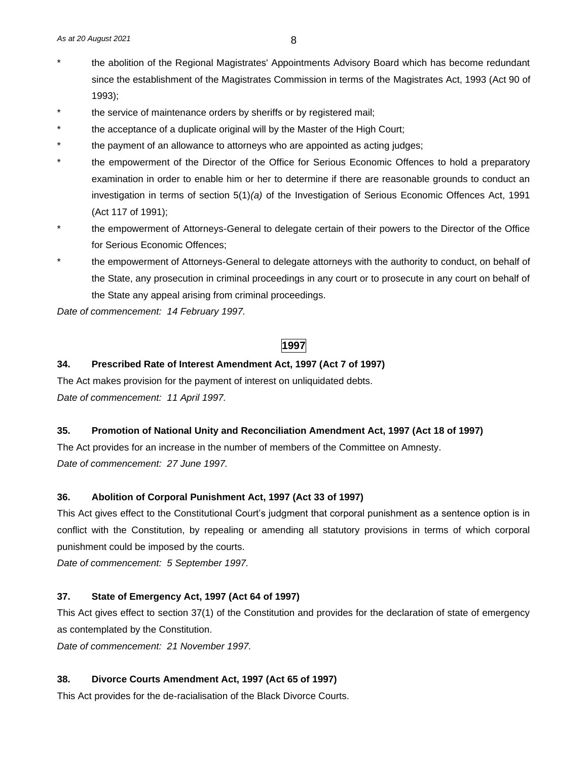- the abolition of the Regional Magistrates' Appointments Advisory Board which has become redundant since the establishment of the Magistrates Commission in terms of the Magistrates Act, 1993 (Act 90 of 1993);
- the service of maintenance orders by sheriffs or by registered mail;
- the acceptance of a duplicate original will by the Master of the High Court;
- the payment of an allowance to attorneys who are appointed as acting judges;
- the empowerment of the Director of the Office for Serious Economic Offences to hold a preparatory examination in order to enable him or her to determine if there are reasonable grounds to conduct an investigation in terms of section 5(1)*(a)* of the Investigation of Serious Economic Offences Act, 1991 (Act 117 of 1991);
- the empowerment of Attorneys-General to delegate certain of their powers to the Director of the Office for Serious Economic Offences;
- the empowerment of Attorneys-General to delegate attorneys with the authority to conduct, on behalf of the State, any prosecution in criminal proceedings in any court or to prosecute in any court on behalf of the State any appeal arising from criminal proceedings.

*Date of commencement: 14 February 1997.*

# **1997**

# **34. Prescribed Rate of Interest Amendment Act, 1997 (Act 7 of 1997)**

The Act makes provision for the payment of interest on unliquidated debts. *Date of commencement: 11 April 1997.*

# **35. Promotion of National Unity and Reconciliation Amendment Act, 1997 (Act 18 of 1997)**

The Act provides for an increase in the number of members of the Committee on Amnesty. *Date of commencement: 27 June 1997.*

# **36. Abolition of Corporal Punishment Act, 1997 (Act 33 of 1997)**

This Act gives effect to the Constitutional Court's judgment that corporal punishment as a sentence option is in conflict with the Constitution, by repealing or amending all statutory provisions in terms of which corporal punishment could be imposed by the courts.

*Date of commencement: 5 September 1997.*

# **37. State of Emergency Act, 1997 (Act 64 of 1997)**

This Act gives effect to section 37(1) of the Constitution and provides for the declaration of state of emergency as contemplated by the Constitution.

*Date of commencement: 21 November 1997.*

#### **38. Divorce Courts Amendment Act, 1997 (Act 65 of 1997)**

This Act provides for the de-racialisation of the Black Divorce Courts.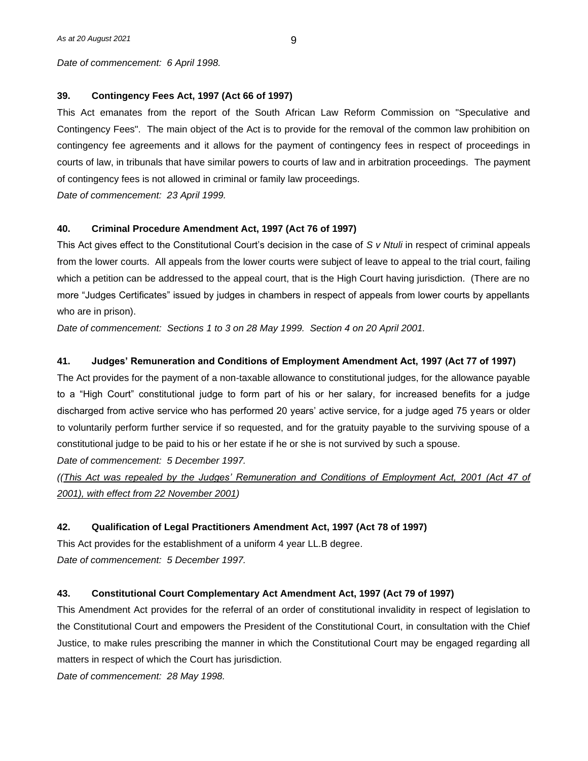*Date of commencement: 6 April 1998.*

# **39. Contingency Fees Act, 1997 (Act 66 of 1997)**

This Act emanates from the report of the South African Law Reform Commission on "Speculative and Contingency Fees". The main object of the Act is to provide for the removal of the common law prohibition on contingency fee agreements and it allows for the payment of contingency fees in respect of proceedings in courts of law, in tribunals that have similar powers to courts of law and in arbitration proceedings. The payment of contingency fees is not allowed in criminal or family law proceedings.

*Date of commencement: 23 April 1999.*

#### **40. Criminal Procedure Amendment Act, 1997 (Act 76 of 1997)**

This Act gives effect to the Constitutional Court's decision in the case of *S v Ntuli* in respect of criminal appeals from the lower courts. All appeals from the lower courts were subject of leave to appeal to the trial court, failing which a petition can be addressed to the appeal court, that is the High Court having jurisdiction. (There are no more "Judges Certificates" issued by judges in chambers in respect of appeals from lower courts by appellants who are in prison).

*Date of commencement: Sections 1 to 3 on 28 May 1999. Section 4 on 20 April 2001.*

# **41. Judges' Remuneration and Conditions of Employment Amendment Act, 1997 (Act 77 of 1997)**

The Act provides for the payment of a non-taxable allowance to constitutional judges, for the allowance payable to a "High Court" constitutional judge to form part of his or her salary, for increased benefits for a judge discharged from active service who has performed 20 years' active service, for a judge aged 75 years or older to voluntarily perform further service if so requested, and for the gratuity payable to the surviving spouse of a constitutional judge to be paid to his or her estate if he or she is not survived by such a spouse.

*Date of commencement: 5 December 1997.* 

*((This Act was repealed by the Judges' Remuneration and Conditions of Employment Act, 2001 (Act 47 of 2001), with effect from 22 November 2001)*

#### **42. Qualification of Legal Practitioners Amendment Act, 1997 (Act 78 of 1997)**

This Act provides for the establishment of a uniform 4 year LL.B degree. *Date of commencement: 5 December 1997.*

#### **43. Constitutional Court Complementary Act Amendment Act, 1997 (Act 79 of 1997)**

This Amendment Act provides for the referral of an order of constitutional invalidity in respect of legislation to the Constitutional Court and empowers the President of the Constitutional Court, in consultation with the Chief Justice, to make rules prescribing the manner in which the Constitutional Court may be engaged regarding all matters in respect of which the Court has jurisdiction.

*Date of commencement: 28 May 1998.*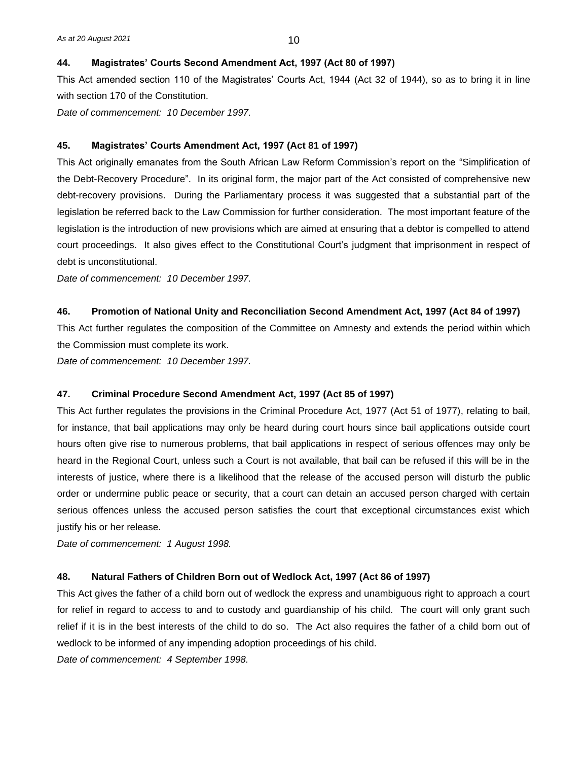#### **44. Magistrates' Courts Second Amendment Act, 1997 (Act 80 of 1997)**

This Act amended section 110 of the Magistrates' Courts Act, 1944 (Act 32 of 1944), so as to bring it in line with section 170 of the Constitution.

*Date of commencement: 10 December 1997.*

#### **45. Magistrates' Courts Amendment Act, 1997 (Act 81 of 1997)**

This Act originally emanates from the South African Law Reform Commission's report on the "Simplification of the Debt-Recovery Procedure". In its original form, the major part of the Act consisted of comprehensive new debt-recovery provisions. During the Parliamentary process it was suggested that a substantial part of the legislation be referred back to the Law Commission for further consideration. The most important feature of the legislation is the introduction of new provisions which are aimed at ensuring that a debtor is compelled to attend court proceedings. It also gives effect to the Constitutional Court's judgment that imprisonment in respect of debt is unconstitutional.

*Date of commencement: 10 December 1997.*

#### **46. Promotion of National Unity and Reconciliation Second Amendment Act, 1997 (Act 84 of 1997)**

This Act further regulates the composition of the Committee on Amnesty and extends the period within which the Commission must complete its work.

*Date of commencement: 10 December 1997.*

#### **47. Criminal Procedure Second Amendment Act, 1997 (Act 85 of 1997)**

This Act further regulates the provisions in the Criminal Procedure Act, 1977 (Act 51 of 1977), relating to bail, for instance, that bail applications may only be heard during court hours since bail applications outside court hours often give rise to numerous problems, that bail applications in respect of serious offences may only be heard in the Regional Court, unless such a Court is not available, that bail can be refused if this will be in the interests of justice, where there is a likelihood that the release of the accused person will disturb the public order or undermine public peace or security, that a court can detain an accused person charged with certain serious offences unless the accused person satisfies the court that exceptional circumstances exist which justify his or her release.

*Date of commencement: 1 August 1998.*

#### **48. Natural Fathers of Children Born out of Wedlock Act, 1997 (Act 86 of 1997)**

This Act gives the father of a child born out of wedlock the express and unambiguous right to approach a court for relief in regard to access to and to custody and guardianship of his child. The court will only grant such relief if it is in the best interests of the child to do so. The Act also requires the father of a child born out of wedlock to be informed of any impending adoption proceedings of his child.

*Date of commencement: 4 September 1998.*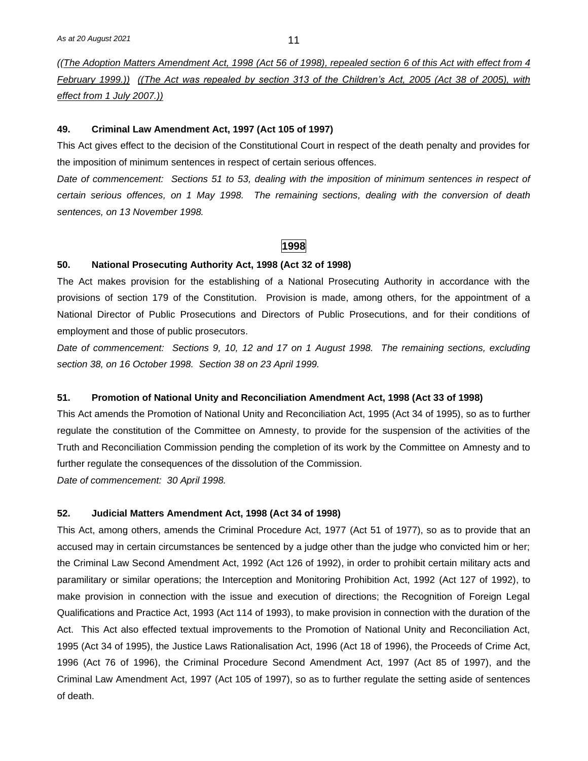*((The Adoption Matters Amendment Act, 1998 (Act 56 of 1998), repealed section 6 of this Act with effect from 4 February 1999.)) ((The Act was repealed by section 313 of the Children's Act, 2005 (Act 38 of 2005), with effect from 1 July 2007.))*

#### **49. Criminal Law Amendment Act, 1997 (Act 105 of 1997)**

This Act gives effect to the decision of the Constitutional Court in respect of the death penalty and provides for the imposition of minimum sentences in respect of certain serious offences.

*Date of commencement: Sections 51 to 53, dealing with the imposition of minimum sentences in respect of certain serious offences, on 1 May 1998. The remaining sections, dealing with the conversion of death sentences, on 13 November 1998.*

#### **1998**

#### **50. National Prosecuting Authority Act, 1998 (Act 32 of 1998)**

The Act makes provision for the establishing of a National Prosecuting Authority in accordance with the provisions of section 179 of the Constitution. Provision is made, among others, for the appointment of a National Director of Public Prosecutions and Directors of Public Prosecutions, and for their conditions of employment and those of public prosecutors.

*Date of commencement: Sections 9, 10, 12 and 17 on 1 August 1998. The remaining sections, excluding section 38, on 16 October 1998. Section 38 on 23 April 1999.*

# **51. Promotion of National Unity and Reconciliation Amendment Act, 1998 (Act 33 of 1998)**

This Act amends the Promotion of National Unity and Reconciliation Act, 1995 (Act 34 of 1995), so as to further regulate the constitution of the Committee on Amnesty, to provide for the suspension of the activities of the Truth and Reconciliation Commission pending the completion of its work by the Committee on Amnesty and to further regulate the consequences of the dissolution of the Commission.

*Date of commencement: 30 April 1998.*

#### **52. Judicial Matters Amendment Act, 1998 (Act 34 of 1998)**

This Act, among others, amends the Criminal Procedure Act, 1977 (Act 51 of 1977), so as to provide that an accused may in certain circumstances be sentenced by a judge other than the judge who convicted him or her; the Criminal Law Second Amendment Act, 1992 (Act 126 of 1992), in order to prohibit certain military acts and paramilitary or similar operations; the Interception and Monitoring Prohibition Act, 1992 (Act 127 of 1992), to make provision in connection with the issue and execution of directions; the Recognition of Foreign Legal Qualifications and Practice Act, 1993 (Act 114 of 1993), to make provision in connection with the duration of the Act. This Act also effected textual improvements to the Promotion of National Unity and Reconciliation Act, 1995 (Act 34 of 1995), the Justice Laws Rationalisation Act, 1996 (Act 18 of 1996), the Proceeds of Crime Act, 1996 (Act 76 of 1996), the Criminal Procedure Second Amendment Act, 1997 (Act 85 of 1997), and the Criminal Law Amendment Act, 1997 (Act 105 of 1997), so as to further regulate the setting aside of sentences of death.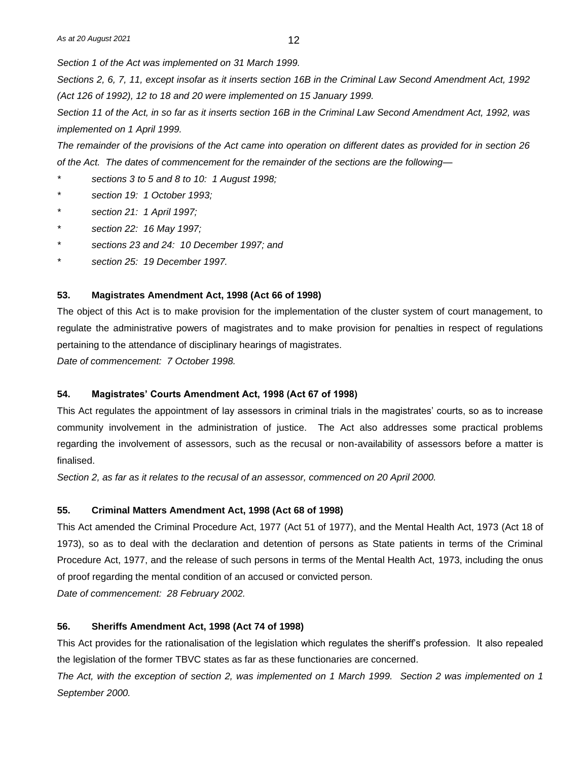*Section 1 of the Act was implemented on 31 March 1999.*

*Sections 2, 6, 7, 11, except insofar as it inserts section 16B in the Criminal Law Second Amendment Act, 1992 (Act 126 of 1992), 12 to 18 and 20 were implemented on 15 January 1999.*

*Section 11 of the Act, in so far as it inserts section 16B in the Criminal Law Second Amendment Act, 1992, was implemented on 1 April 1999.*

*The remainder of the provisions of the Act came into operation on different dates as provided for in section 26 of the Act. The dates of commencement for the remainder of the sections are the following—*

*\* sections 3 to 5 and 8 to 10: 1 August 1998;*

- *\* section 19: 1 October 1993;*
- *\* section 21: 1 April 1997;*
- *\* section 22: 16 May 1997;*
- *\* sections 23 and 24: 10 December 1997; and*
- *\* section 25: 19 December 1997.*

#### **53. Magistrates Amendment Act, 1998 (Act 66 of 1998)**

The object of this Act is to make provision for the implementation of the cluster system of court management, to regulate the administrative powers of magistrates and to make provision for penalties in respect of regulations pertaining to the attendance of disciplinary hearings of magistrates.

*Date of commencement: 7 October 1998.*

#### **54. Magistrates' Courts Amendment Act, 1998 (Act 67 of 1998)**

This Act regulates the appointment of lay assessors in criminal trials in the magistrates' courts, so as to increase community involvement in the administration of justice. The Act also addresses some practical problems regarding the involvement of assessors, such as the recusal or non-availability of assessors before a matter is finalised.

*Section 2, as far as it relates to the recusal of an assessor, commenced on 20 April 2000.*

#### **55. Criminal Matters Amendment Act, 1998 (Act 68 of 1998)**

This Act amended the Criminal Procedure Act, 1977 (Act 51 of 1977), and the Mental Health Act, 1973 (Act 18 of 1973), so as to deal with the declaration and detention of persons as State patients in terms of the Criminal Procedure Act, 1977, and the release of such persons in terms of the Mental Health Act, 1973, including the onus of proof regarding the mental condition of an accused or convicted person.

*Date of commencement: 28 February 2002.*

#### **56. Sheriffs Amendment Act, 1998 (Act 74 of 1998)**

This Act provides for the rationalisation of the legislation which regulates the sheriff's profession. It also repealed the legislation of the former TBVC states as far as these functionaries are concerned.

*The Act, with the exception of section 2, was implemented on 1 March 1999. Section 2 was implemented on 1 September 2000.*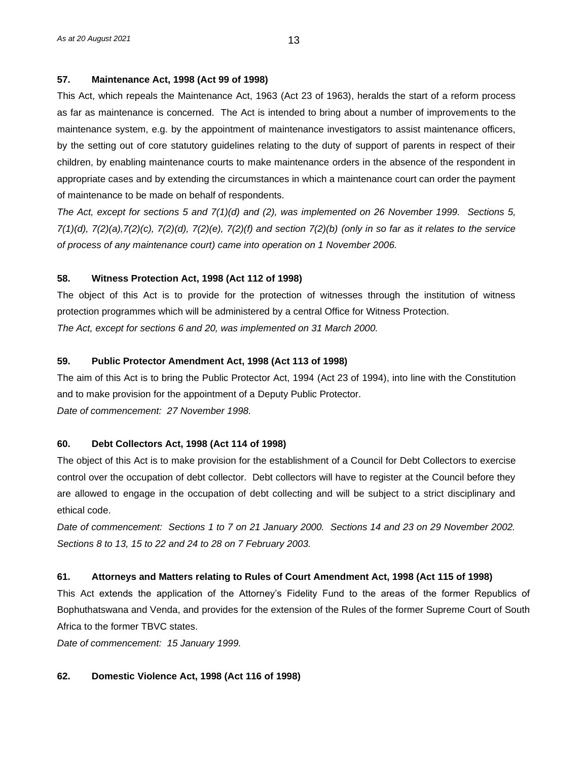## **57. Maintenance Act, 1998 (Act 99 of 1998)**

This Act, which repeals the Maintenance Act, 1963 (Act 23 of 1963), heralds the start of a reform process as far as maintenance is concerned. The Act is intended to bring about a number of improvements to the maintenance system, e.g. by the appointment of maintenance investigators to assist maintenance officers, by the setting out of core statutory guidelines relating to the duty of support of parents in respect of their children, by enabling maintenance courts to make maintenance orders in the absence of the respondent in appropriate cases and by extending the circumstances in which a maintenance court can order the payment of maintenance to be made on behalf of respondents.

*The Act, except for sections 5 and 7(1)(d) and (2), was implemented on 26 November 1999. Sections 5, 7(1)(d), 7(2)(a),7(2)(c), 7(2)(d), 7(2)(e), 7(2)(f) and section 7(2)(b) (only in so far as it relates to the service of process of any maintenance court) came into operation on 1 November 2006.*

# **58. Witness Protection Act, 1998 (Act 112 of 1998)**

The object of this Act is to provide for the protection of witnesses through the institution of witness protection programmes which will be administered by a central Office for Witness Protection. *The Act, except for sections 6 and 20, was implemented on 31 March 2000.*

# **59. Public Protector Amendment Act, 1998 (Act 113 of 1998)**

The aim of this Act is to bring the Public Protector Act, 1994 (Act 23 of 1994), into line with the Constitution and to make provision for the appointment of a Deputy Public Protector. *Date of commencement: 27 November 1998.*

#### **60. Debt Collectors Act, 1998 (Act 114 of 1998)**

The object of this Act is to make provision for the establishment of a Council for Debt Collectors to exercise control over the occupation of debt collector. Debt collectors will have to register at the Council before they are allowed to engage in the occupation of debt collecting and will be subject to a strict disciplinary and ethical code.

*Date of commencement: Sections 1 to 7 on 21 January 2000. Sections 14 and 23 on 29 November 2002. Sections 8 to 13, 15 to 22 and 24 to 28 on 7 February 2003.*

# **61. Attorneys and Matters relating to Rules of Court Amendment Act, 1998 (Act 115 of 1998)**

This Act extends the application of the Attorney's Fidelity Fund to the areas of the former Republics of Bophuthatswana and Venda, and provides for the extension of the Rules of the former Supreme Court of South Africa to the former TBVC states.

*Date of commencement: 15 January 1999.*

# **62. Domestic Violence Act, 1998 (Act 116 of 1998)**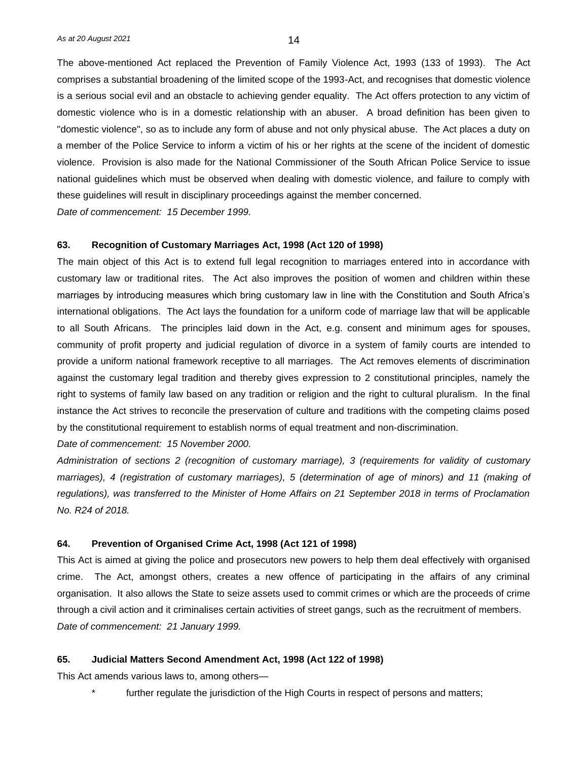The above-mentioned Act replaced the Prevention of Family Violence Act, 1993 (133 of 1993). The Act comprises a substantial broadening of the limited scope of the 1993-Act, and recognises that domestic violence is a serious social evil and an obstacle to achieving gender equality. The Act offers protection to any victim of domestic violence who is in a domestic relationship with an abuser. A broad definition has been given to "domestic violence", so as to include any form of abuse and not only physical abuse. The Act places a duty on a member of the Police Service to inform a victim of his or her rights at the scene of the incident of domestic violence. Provision is also made for the National Commissioner of the South African Police Service to issue national guidelines which must be observed when dealing with domestic violence, and failure to comply with these guidelines will result in disciplinary proceedings against the member concerned.

*Date of commencement: 15 December 1999.*

#### **63. Recognition of Customary Marriages Act, 1998 (Act 120 of 1998)**

The main object of this Act is to extend full legal recognition to marriages entered into in accordance with customary law or traditional rites. The Act also improves the position of women and children within these marriages by introducing measures which bring customary law in line with the Constitution and South Africa's international obligations. The Act lays the foundation for a uniform code of marriage law that will be applicable to all South Africans. The principles laid down in the Act, e.g. consent and minimum ages for spouses, community of profit property and judicial regulation of divorce in a system of family courts are intended to provide a uniform national framework receptive to all marriages. The Act removes elements of discrimination against the customary legal tradition and thereby gives expression to 2 constitutional principles, namely the right to systems of family law based on any tradition or religion and the right to cultural pluralism. In the final instance the Act strives to reconcile the preservation of culture and traditions with the competing claims posed by the constitutional requirement to establish norms of equal treatment and non-discrimination.

#### *Date of commencement: 15 November 2000.*

*Administration of sections 2 (recognition of customary marriage), 3 (requirements for validity of customary marriages), 4 (registration of customary marriages), 5 (determination of age of minors) and 11 (making of regulations), was transferred to the Minister of Home Affairs on 21 September 2018 in terms of Proclamation No. R24 of 2018.*

#### **64. Prevention of Organised Crime Act, 1998 (Act 121 of 1998)**

This Act is aimed at giving the police and prosecutors new powers to help them deal effectively with organised crime. The Act, amongst others, creates a new offence of participating in the affairs of any criminal organisation. It also allows the State to seize assets used to commit crimes or which are the proceeds of crime through a civil action and it criminalises certain activities of street gangs, such as the recruitment of members. *Date of commencement: 21 January 1999.*

#### **65. Judicial Matters Second Amendment Act, 1998 (Act 122 of 1998)**

This Act amends various laws to, among others—

further regulate the jurisdiction of the High Courts in respect of persons and matters;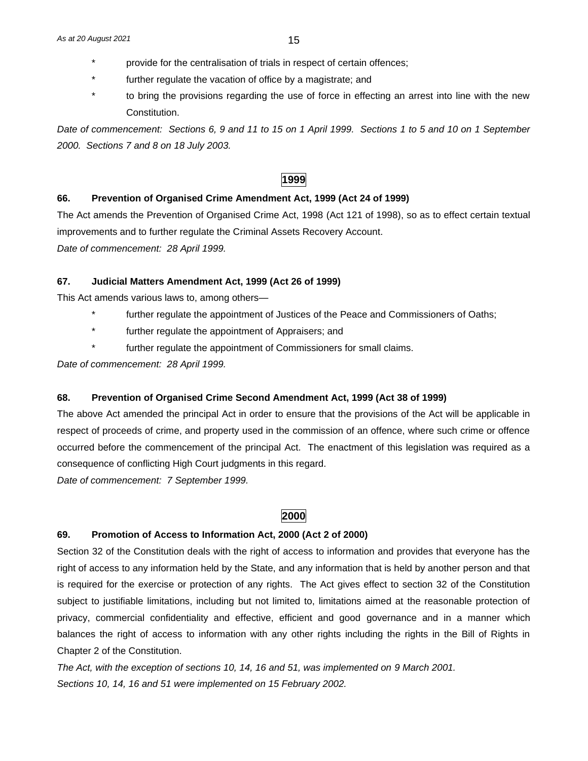- provide for the centralisation of trials in respect of certain offences;
- further regulate the vacation of office by a magistrate; and
- to bring the provisions regarding the use of force in effecting an arrest into line with the new Constitution.

*Date of commencement: Sections 6, 9 and 11 to 15 on 1 April 1999. Sections 1 to 5 and 10 on 1 September 2000. Sections 7 and 8 on 18 July 2003.*

# **1999**

#### **66. Prevention of Organised Crime Amendment Act, 1999 (Act 24 of 1999)**

The Act amends the Prevention of Organised Crime Act, 1998 (Act 121 of 1998), so as to effect certain textual improvements and to further regulate the Criminal Assets Recovery Account. *Date of commencement: 28 April 1999.*

#### **67. Judicial Matters Amendment Act, 1999 (Act 26 of 1999)**

This Act amends various laws to, among others—

- further regulate the appointment of Justices of the Peace and Commissioners of Oaths;
- further regulate the appointment of Appraisers; and
- further regulate the appointment of Commissioners for small claims.

*Date of commencement: 28 April 1999.*

#### **68. Prevention of Organised Crime Second Amendment Act, 1999 (Act 38 of 1999)**

The above Act amended the principal Act in order to ensure that the provisions of the Act will be applicable in respect of proceeds of crime, and property used in the commission of an offence, where such crime or offence occurred before the commencement of the principal Act. The enactment of this legislation was required as a consequence of conflicting High Court judgments in this regard.

*Date of commencement: 7 September 1999.*

# **2000**

#### **69. Promotion of Access to Information Act, 2000 (Act 2 of 2000)**

Section 32 of the Constitution deals with the right of access to information and provides that everyone has the right of access to any information held by the State, and any information that is held by another person and that is required for the exercise or protection of any rights. The Act gives effect to section 32 of the Constitution subject to justifiable limitations, including but not limited to, limitations aimed at the reasonable protection of privacy, commercial confidentiality and effective, efficient and good governance and in a manner which balances the right of access to information with any other rights including the rights in the Bill of Rights in Chapter 2 of the Constitution.

*The Act, with the exception of sections 10, 14, 16 and 51, was implemented on 9 March 2001. Sections 10, 14, 16 and 51 were implemented on 15 February 2002.*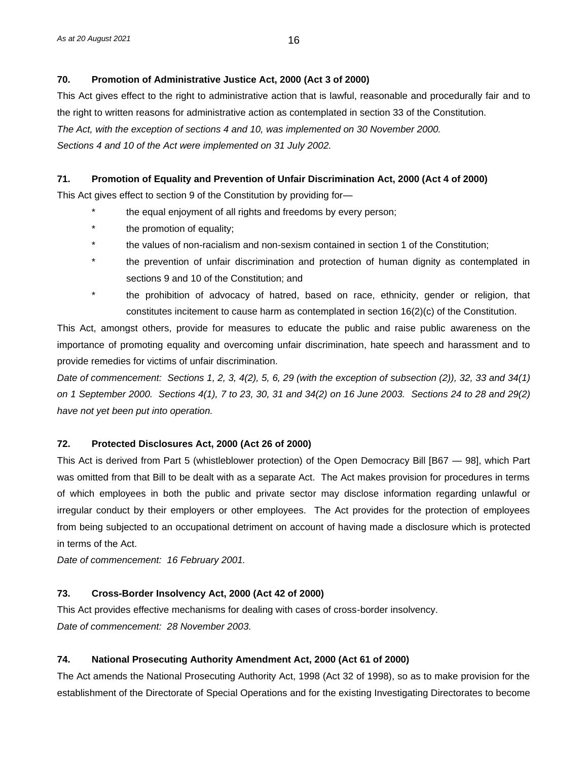# **70. Promotion of Administrative Justice Act, 2000 (Act 3 of 2000)**

This Act gives effect to the right to administrative action that is lawful, reasonable and procedurally fair and to the right to written reasons for administrative action as contemplated in section 33 of the Constitution. *The Act, with the exception of sections 4 and 10, was implemented on 30 November 2000. Sections 4 and 10 of the Act were implemented on 31 July 2002.* 

# **71. Promotion of Equality and Prevention of Unfair Discrimination Act, 2000 (Act 4 of 2000)**

This Act gives effect to section 9 of the Constitution by providing for—

- \* the equal enjoyment of all rights and freedoms by every person;
- the promotion of equality;
- the values of non-racialism and non-sexism contained in section 1 of the Constitution;
- the prevention of unfair discrimination and protection of human dignity as contemplated in sections 9 and 10 of the Constitution; and
- the prohibition of advocacy of hatred, based on race, ethnicity, gender or religion, that constitutes incitement to cause harm as contemplated in section 16(2)(c) of the Constitution.

This Act, amongst others, provide for measures to educate the public and raise public awareness on the importance of promoting equality and overcoming unfair discrimination, hate speech and harassment and to provide remedies for victims of unfair discrimination.

*Date of commencement: Sections 1, 2, 3, 4(2), 5, 6, 29 (with the exception of subsection (2)), 32, 33 and 34(1) on 1 September 2000. Sections 4(1), 7 to 23, 30, 31 and 34(2) on 16 June 2003. Sections 24 to 28 and 29(2) have not yet been put into operation.*

# **72. Protected Disclosures Act, 2000 (Act 26 of 2000)**

This Act is derived from Part 5 (whistleblower protection) of the Open Democracy Bill [B67 — 98], which Part was omitted from that Bill to be dealt with as a separate Act. The Act makes provision for procedures in terms of which employees in both the public and private sector may disclose information regarding unlawful or irregular conduct by their employers or other employees. The Act provides for the protection of employees from being subjected to an occupational detriment on account of having made a disclosure which is protected in terms of the Act.

*Date of commencement: 16 February 2001.*

# **73. Cross-Border Insolvency Act, 2000 (Act 42 of 2000)**

This Act provides effective mechanisms for dealing with cases of cross-border insolvency. *Date of commencement: 28 November 2003.*

# **74. National Prosecuting Authority Amendment Act, 2000 (Act 61 of 2000)**

The Act amends the National Prosecuting Authority Act, 1998 (Act 32 of 1998), so as to make provision for the establishment of the Directorate of Special Operations and for the existing Investigating Directorates to become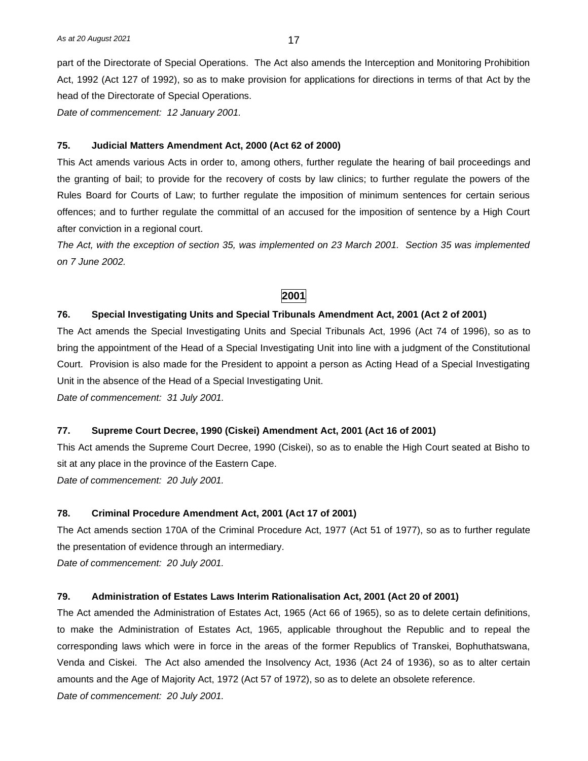part of the Directorate of Special Operations. The Act also amends the Interception and Monitoring Prohibition Act, 1992 (Act 127 of 1992), so as to make provision for applications for directions in terms of that Act by the head of the Directorate of Special Operations.

*Date of commencement: 12 January 2001.*

#### **75. Judicial Matters Amendment Act, 2000 (Act 62 of 2000)**

This Act amends various Acts in order to, among others, further regulate the hearing of bail proceedings and the granting of bail; to provide for the recovery of costs by law clinics; to further regulate the powers of the Rules Board for Courts of Law; to further regulate the imposition of minimum sentences for certain serious offences; and to further regulate the committal of an accused for the imposition of sentence by a High Court after conviction in a regional court.

*The Act, with the exception of section 35, was implemented on 23 March 2001. Section 35 was implemented on 7 June 2002.* 

# **2001**

#### **76. Special Investigating Units and Special Tribunals Amendment Act, 2001 (Act 2 of 2001)**

The Act amends the Special Investigating Units and Special Tribunals Act, 1996 (Act 74 of 1996), so as to bring the appointment of the Head of a Special Investigating Unit into line with a judgment of the Constitutional Court. Provision is also made for the President to appoint a person as Acting Head of a Special Investigating Unit in the absence of the Head of a Special Investigating Unit.

*Date of commencement: 31 July 2001.*

#### **77. Supreme Court Decree, 1990 (Ciskei) Amendment Act, 2001 (Act 16 of 2001)**

This Act amends the Supreme Court Decree, 1990 (Ciskei), so as to enable the High Court seated at Bisho to sit at any place in the province of the Eastern Cape.

*Date of commencement: 20 July 2001.*

#### **78. Criminal Procedure Amendment Act, 2001 (Act 17 of 2001)**

The Act amends section 170A of the Criminal Procedure Act, 1977 (Act 51 of 1977), so as to further regulate the presentation of evidence through an intermediary.

*Date of commencement: 20 July 2001.*

#### **79. Administration of Estates Laws Interim Rationalisation Act, 2001 (Act 20 of 2001)**

The Act amended the Administration of Estates Act, 1965 (Act 66 of 1965), so as to delete certain definitions, to make the Administration of Estates Act, 1965, applicable throughout the Republic and to repeal the corresponding laws which were in force in the areas of the former Republics of Transkei, Bophuthatswana, Venda and Ciskei. The Act also amended the Insolvency Act, 1936 (Act 24 of 1936), so as to alter certain amounts and the Age of Majority Act, 1972 (Act 57 of 1972), so as to delete an obsolete reference. *Date of commencement: 20 July 2001.*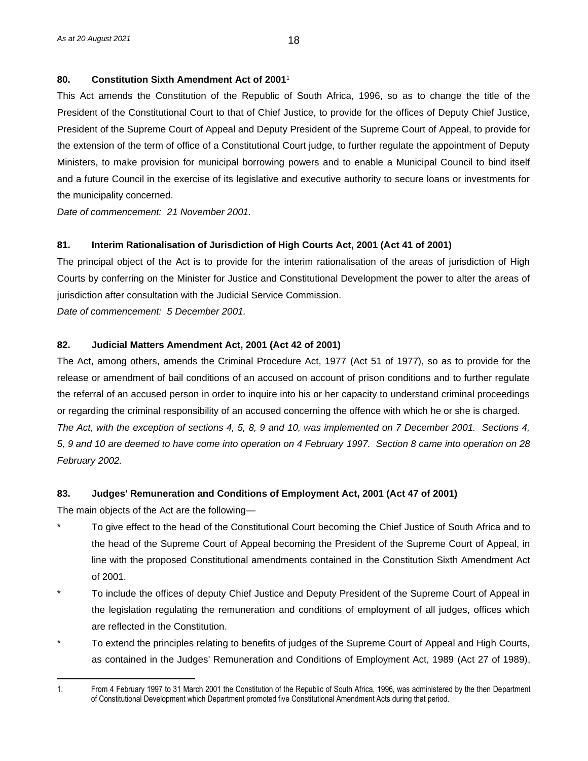# **80. Constitution Sixth Amendment Act of 2001**<sup>1</sup>

This Act amends the Constitution of the Republic of South Africa, 1996, so as to change the title of the President of the Constitutional Court to that of Chief Justice, to provide for the offices of Deputy Chief Justice, President of the Supreme Court of Appeal and Deputy President of the Supreme Court of Appeal, to provide for the extension of the term of office of a Constitutional Court judge, to further regulate the appointment of Deputy Ministers, to make provision for municipal borrowing powers and to enable a Municipal Council to bind itself and a future Council in the exercise of its legislative and executive authority to secure loans or investments for the municipality concerned.

*Date of commencement: 21 November 2001.*

# **81. Interim Rationalisation of Jurisdiction of High Courts Act, 2001 (Act 41 of 2001)**

The principal object of the Act is to provide for the interim rationalisation of the areas of jurisdiction of High Courts by conferring on the Minister for Justice and Constitutional Development the power to alter the areas of jurisdiction after consultation with the Judicial Service Commission.

*Date of commencement: 5 December 2001.*

# **82. Judicial Matters Amendment Act, 2001 (Act 42 of 2001)**

The Act, among others, amends the Criminal Procedure Act, 1977 (Act 51 of 1977), so as to provide for the release or amendment of bail conditions of an accused on account of prison conditions and to further regulate the referral of an accused person in order to inquire into his or her capacity to understand criminal proceedings or regarding the criminal responsibility of an accused concerning the offence with which he or she is charged. *The Act, with the exception of sections 4, 5, 8, 9 and 10, was implemented on 7 December 2001. Sections 4, 5, 9 and 10 are deemed to have come into operation on 4 February 1997. Section 8 came into operation on 28 February 2002.*

#### **83. Judges' Remuneration and Conditions of Employment Act, 2001 (Act 47 of 2001)**

The main objects of the Act are the following—

- \* To give effect to the head of the Constitutional Court becoming the Chief Justice of South Africa and to the head of the Supreme Court of Appeal becoming the President of the Supreme Court of Appeal, in line with the proposed Constitutional amendments contained in the Constitution Sixth Amendment Act of 2001.
- \* To include the offices of deputy Chief Justice and Deputy President of the Supreme Court of Appeal in the legislation regulating the remuneration and conditions of employment of all judges, offices which are reflected in the Constitution.
- To extend the principles relating to benefits of judges of the Supreme Court of Appeal and High Courts, as contained in the Judges' Remuneration and Conditions of Employment Act, 1989 (Act 27 of 1989),

<sup>1.</sup> From 4 February 1997 to 31 March 2001 the Constitution of the Republic of South Africa, 1996, was administered by the then Department of Constitutional Development which Department promoted five Constitutional Amendment Acts during that period.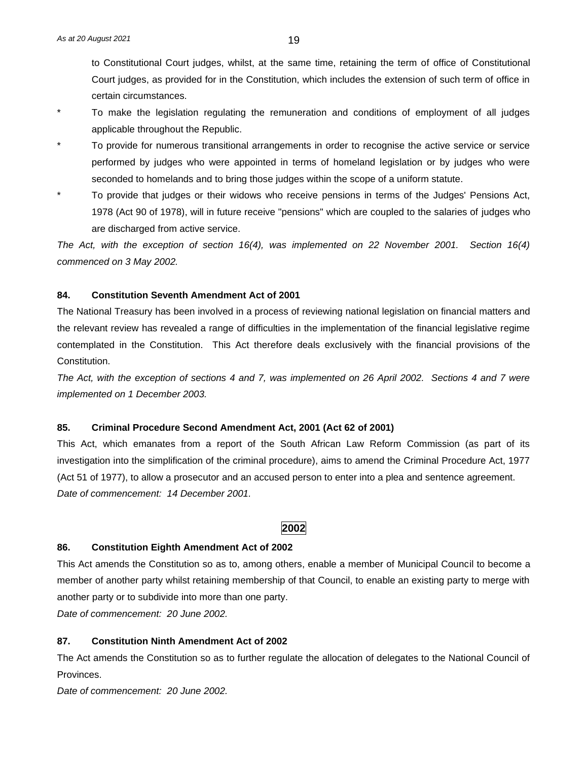to Constitutional Court judges, whilst, at the same time, retaining the term of office of Constitutional Court judges, as provided for in the Constitution, which includes the extension of such term of office in certain circumstances.

- To make the legislation regulating the remuneration and conditions of employment of all judges applicable throughout the Republic.
- To provide for numerous transitional arrangements in order to recognise the active service or service performed by judges who were appointed in terms of homeland legislation or by judges who were seconded to homelands and to bring those judges within the scope of a uniform statute.
- To provide that judges or their widows who receive pensions in terms of the Judges' Pensions Act, 1978 (Act 90 of 1978), will in future receive "pensions" which are coupled to the salaries of judges who are discharged from active service.

*The Act, with the exception of section 16(4), was implemented on 22 November 2001. Section 16(4) commenced on 3 May 2002.* 

#### **84. Constitution Seventh Amendment Act of 2001**

The National Treasury has been involved in a process of reviewing national legislation on financial matters and the relevant review has revealed a range of difficulties in the implementation of the financial legislative regime contemplated in the Constitution. This Act therefore deals exclusively with the financial provisions of the Constitution.

*The Act, with the exception of sections 4 and 7, was implemented on 26 April 2002. Sections 4 and 7 were implemented on 1 December 2003.*

# **85. Criminal Procedure Second Amendment Act, 2001 (Act 62 of 2001)**

This Act, which emanates from a report of the South African Law Reform Commission (as part of its investigation into the simplification of the criminal procedure), aims to amend the Criminal Procedure Act, 1977 (Act 51 of 1977), to allow a prosecutor and an accused person to enter into a plea and sentence agreement. *Date of commencement: 14 December 2001.*

#### **2002**

#### **86. Constitution Eighth Amendment Act of 2002**

This Act amends the Constitution so as to, among others, enable a member of Municipal Council to become a member of another party whilst retaining membership of that Council, to enable an existing party to merge with another party or to subdivide into more than one party.

*Date of commencement: 20 June 2002.*

## **87. Constitution Ninth Amendment Act of 2002**

The Act amends the Constitution so as to further regulate the allocation of delegates to the National Council of Provinces.

*Date of commencement: 20 June 2002.*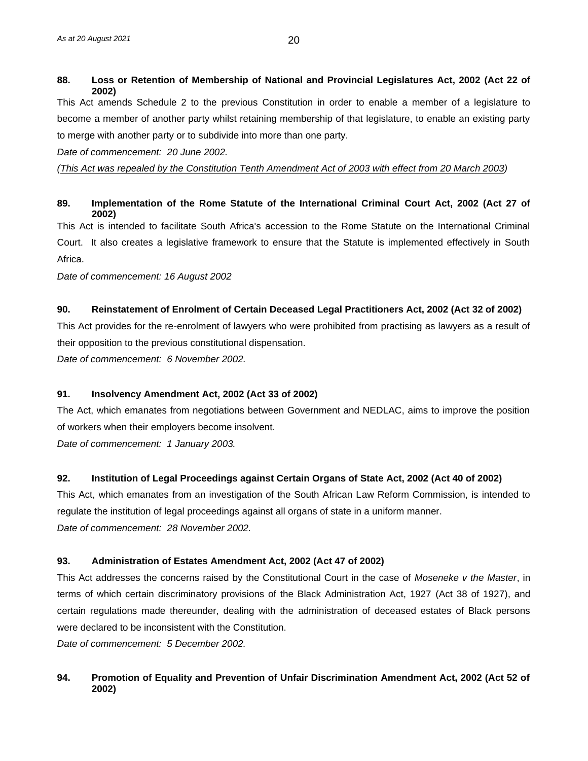# **88. Loss or Retention of Membership of National and Provincial Legislatures Act, 2002 (Act 22 of 2002)**

This Act amends Schedule 2 to the previous Constitution in order to enable a member of a legislature to become a member of another party whilst retaining membership of that legislature, to enable an existing party to merge with another party or to subdivide into more than one party.

*Date of commencement: 20 June 2002.*

*(This Act was repealed by the Constitution Tenth Amendment Act of 2003 with effect from 20 March 2003)*

# **89. Implementation of the Rome Statute of the International Criminal Court Act, 2002 (Act 27 of 2002)**

This Act is intended to facilitate South Africa's accession to the Rome Statute on the International Criminal Court. It also creates a legislative framework to ensure that the Statute is implemented effectively in South Africa.

*Date of commencement: 16 August 2002*

# **90. Reinstatement of Enrolment of Certain Deceased Legal Practitioners Act, 2002 (Act 32 of 2002)**

This Act provides for the re-enrolment of lawyers who were prohibited from practising as lawyers as a result of their opposition to the previous constitutional dispensation.

*Date of commencement: 6 November 2002.*

#### **91. Insolvency Amendment Act, 2002 (Act 33 of 2002)**

The Act, which emanates from negotiations between Government and NEDLAC, aims to improve the position of workers when their employers become insolvent.

*Date of commencement: 1 January 2003.*

#### **92. Institution of Legal Proceedings against Certain Organs of State Act, 2002 (Act 40 of 2002)**

This Act, which emanates from an investigation of the South African Law Reform Commission, is intended to regulate the institution of legal proceedings against all organs of state in a uniform manner. *Date of commencement: 28 November 2002.*

#### **93. Administration of Estates Amendment Act, 2002 (Act 47 of 2002)**

This Act addresses the concerns raised by the Constitutional Court in the case of *Moseneke v the Master*, in terms of which certain discriminatory provisions of the Black Administration Act, 1927 (Act 38 of 1927), and certain regulations made thereunder, dealing with the administration of deceased estates of Black persons were declared to be inconsistent with the Constitution.

*Date of commencement: 5 December 2002.* 

# **94. Promotion of Equality and Prevention of Unfair Discrimination Amendment Act, 2002 (Act 52 of 2002)**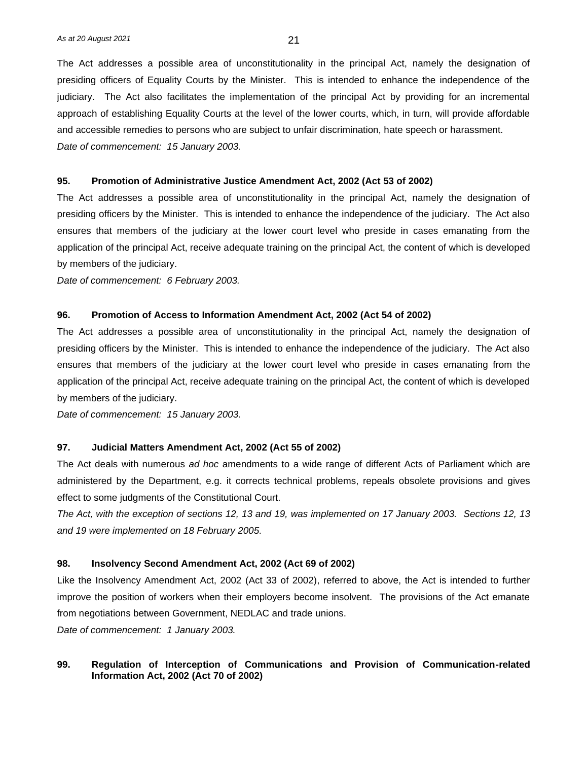The Act addresses a possible area of unconstitutionality in the principal Act, namely the designation of presiding officers of Equality Courts by the Minister. This is intended to enhance the independence of the judiciary. The Act also facilitates the implementation of the principal Act by providing for an incremental approach of establishing Equality Courts at the level of the lower courts, which, in turn, will provide affordable and accessible remedies to persons who are subject to unfair discrimination, hate speech or harassment. *Date of commencement: 15 January 2003.*

#### **95. Promotion of Administrative Justice Amendment Act, 2002 (Act 53 of 2002)**

The Act addresses a possible area of unconstitutionality in the principal Act, namely the designation of presiding officers by the Minister. This is intended to enhance the independence of the judiciary. The Act also ensures that members of the judiciary at the lower court level who preside in cases emanating from the application of the principal Act, receive adequate training on the principal Act, the content of which is developed by members of the judiciary.

*Date of commencement: 6 February 2003.*

#### **96. Promotion of Access to Information Amendment Act, 2002 (Act 54 of 2002)**

The Act addresses a possible area of unconstitutionality in the principal Act, namely the designation of presiding officers by the Minister. This is intended to enhance the independence of the judiciary. The Act also ensures that members of the judiciary at the lower court level who preside in cases emanating from the application of the principal Act, receive adequate training on the principal Act, the content of which is developed by members of the judiciary.

*Date of commencement: 15 January 2003.*

#### **97. Judicial Matters Amendment Act, 2002 (Act 55 of 2002)**

The Act deals with numerous *ad hoc* amendments to a wide range of different Acts of Parliament which are administered by the Department, e.g. it corrects technical problems, repeals obsolete provisions and gives effect to some judgments of the Constitutional Court.

*The Act, with the exception of sections 12, 13 and 19, was implemented on 17 January 2003. Sections 12, 13 and 19 were implemented on 18 February 2005.* 

#### **98. Insolvency Second Amendment Act, 2002 (Act 69 of 2002)**

Like the Insolvency Amendment Act, 2002 (Act 33 of 2002), referred to above, the Act is intended to further improve the position of workers when their employers become insolvent. The provisions of the Act emanate from negotiations between Government, NEDLAC and trade unions.

*Date of commencement: 1 January 2003.*

#### **99. Regulation of Interception of Communications and Provision of Communication-related Information Act, 2002 (Act 70 of 2002)**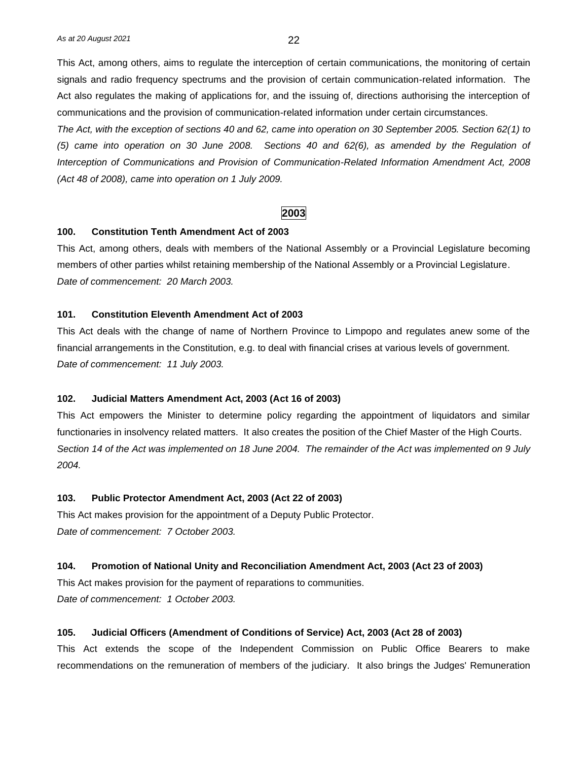This Act, among others, aims to regulate the interception of certain communications, the monitoring of certain signals and radio frequency spectrums and the provision of certain communication-related information. The Act also regulates the making of applications for, and the issuing of, directions authorising the interception of communications and the provision of communication-related information under certain circumstances.

*The Act, with the exception of sections 40 and 62, came into operation on 30 September 2005. Section 62(1) to (5) came into operation on 30 June 2008. Sections 40 and 62(6), as amended by the Regulation of Interception of Communications and Provision of Communication-Related Information Amendment Act, 2008 (Act 48 of 2008), came into operation on 1 July 2009.*

# **2003**

# **100. Constitution Tenth Amendment Act of 2003**

This Act, among others, deals with members of the National Assembly or a Provincial Legislature becoming members of other parties whilst retaining membership of the National Assembly or a Provincial Legislature. *Date of commencement: 20 March 2003.*

#### **101. Constitution Eleventh Amendment Act of 2003**

This Act deals with the change of name of Northern Province to Limpopo and regulates anew some of the financial arrangements in the Constitution, e.g. to deal with financial crises at various levels of government. *Date of commencement: 11 July 2003.*

#### **102. Judicial Matters Amendment Act, 2003 (Act 16 of 2003)**

This Act empowers the Minister to determine policy regarding the appointment of liquidators and similar functionaries in insolvency related matters. It also creates the position of the Chief Master of the High Courts. *Section 14 of the Act was implemented on 18 June 2004. The remainder of the Act was implemented on 9 July 2004.*

#### **103. Public Protector Amendment Act, 2003 (Act 22 of 2003)**

This Act makes provision for the appointment of a Deputy Public Protector. *Date of commencement: 7 October 2003.*

#### **104. Promotion of National Unity and Reconciliation Amendment Act, 2003 (Act 23 of 2003)**

This Act makes provision for the payment of reparations to communities. *Date of commencement: 1 October 2003.*

#### **105. Judicial Officers (Amendment of Conditions of Service) Act, 2003 (Act 28 of 2003)**

This Act extends the scope of the Independent Commission on Public Office Bearers to make recommendations on the remuneration of members of the judiciary. It also brings the Judges' Remuneration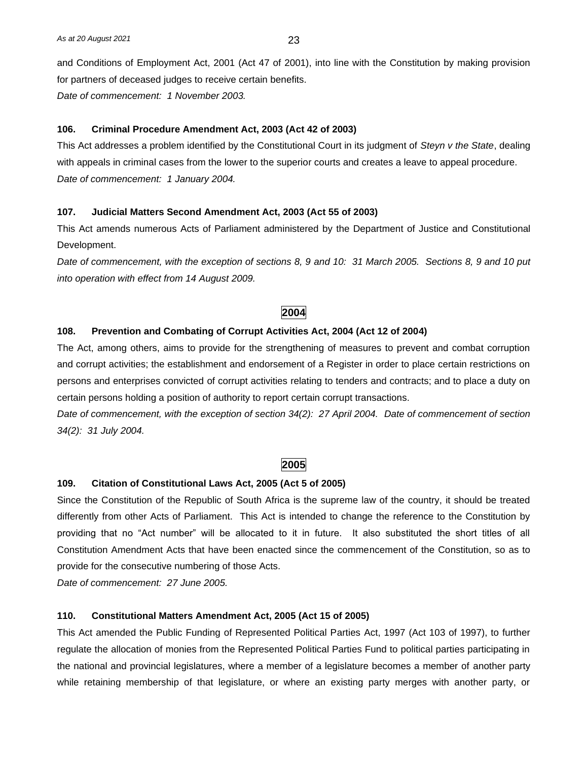and Conditions of Employment Act, 2001 (Act 47 of 2001), into line with the Constitution by making provision for partners of deceased judges to receive certain benefits. *Date of commencement: 1 November 2003.* 

#### **106. Criminal Procedure Amendment Act, 2003 (Act 42 of 2003)**

This Act addresses a problem identified by the Constitutional Court in its judgment of *Steyn v the State*, dealing with appeals in criminal cases from the lower to the superior courts and creates a leave to appeal procedure. *Date of commencement: 1 January 2004.*

# **107. Judicial Matters Second Amendment Act, 2003 (Act 55 of 2003)**

This Act amends numerous Acts of Parliament administered by the Department of Justice and Constitutional Development.

*Date of commencement, with the exception of sections 8, 9 and 10: 31 March 2005. Sections 8, 9 and 10 put into operation with effect from 14 August 2009.*

# **2004**

# **108. Prevention and Combating of Corrupt Activities Act, 2004 (Act 12 of 2004)**

The Act, among others, aims to provide for the strengthening of measures to prevent and combat corruption and corrupt activities; the establishment and endorsement of a Register in order to place certain restrictions on persons and enterprises convicted of corrupt activities relating to tenders and contracts; and to place a duty on certain persons holding a position of authority to report certain corrupt transactions.

*Date of commencement, with the exception of section 34(2): 27 April 2004. Date of commencement of section 34(2): 31 July 2004.*

# **2005**

#### **109. Citation of Constitutional Laws Act, 2005 (Act 5 of 2005)**

Since the Constitution of the Republic of South Africa is the supreme law of the country, it should be treated differently from other Acts of Parliament. This Act is intended to change the reference to the Constitution by providing that no "Act number" will be allocated to it in future. It also substituted the short titles of all Constitution Amendment Acts that have been enacted since the commencement of the Constitution, so as to provide for the consecutive numbering of those Acts.

*Date of commencement: 27 June 2005.*

#### **110. Constitutional Matters Amendment Act, 2005 (Act 15 of 2005)**

This Act amended the Public Funding of Represented Political Parties Act, 1997 (Act 103 of 1997), to further regulate the allocation of monies from the Represented Political Parties Fund to political parties participating in the national and provincial legislatures, where a member of a legislature becomes a member of another party while retaining membership of that legislature, or where an existing party merges with another party, or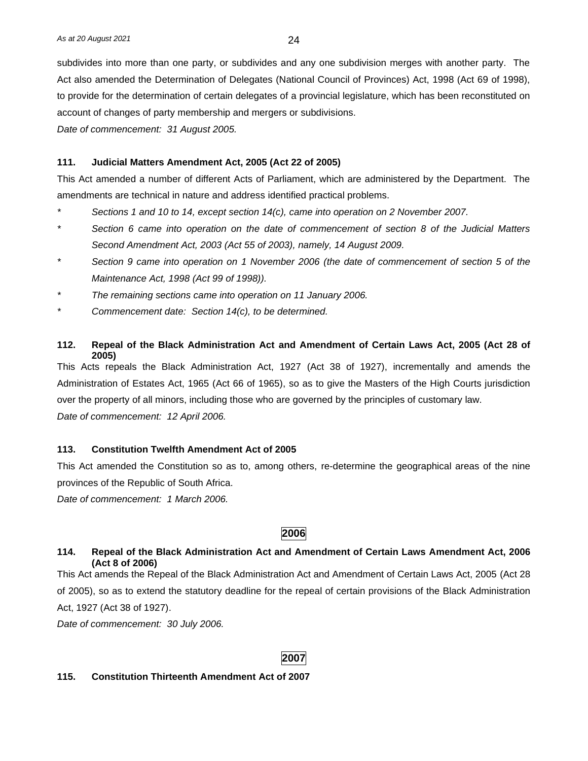subdivides into more than one party, or subdivides and any one subdivision merges with another party. The Act also amended the Determination of Delegates (National Council of Provinces) Act, 1998 (Act 69 of 1998), to provide for the determination of certain delegates of a provincial legislature, which has been reconstituted on account of changes of party membership and mergers or subdivisions.

*Date of commencement: 31 August 2005.*

#### **111. Judicial Matters Amendment Act, 2005 (Act 22 of 2005)**

This Act amended a number of different Acts of Parliament, which are administered by the Department. The amendments are technical in nature and address identified practical problems.

- *\* Sections 1 and 10 to 14, except section 14(c), came into operation on 2 November 2007.*
- *\* Section 6 came into operation on the date of commencement of section 8 of the Judicial Matters Second Amendment Act, 2003 (Act 55 of 2003), namely, 14 August 2009.*
- *\* Section 9 came into operation on 1 November 2006 (the date of commencement of section 5 of the Maintenance Act, 1998 (Act 99 of 1998)).*
- *\* The remaining sections came into operation on 11 January 2006.*
- *\* Commencement date: Section 14(c), to be determined.*

#### **112. Repeal of the Black Administration Act and Amendment of Certain Laws Act, 2005 (Act 28 of 2005)**

This Acts repeals the Black Administration Act, 1927 (Act 38 of 1927), incrementally and amends the Administration of Estates Act, 1965 (Act 66 of 1965), so as to give the Masters of the High Courts jurisdiction over the property of all minors, including those who are governed by the principles of customary law. *Date of commencement: 12 April 2006.*

#### **113. Constitution Twelfth Amendment Act of 2005**

This Act amended the Constitution so as to, among others, re-determine the geographical areas of the nine provinces of the Republic of South Africa.

*Date of commencement: 1 March 2006.*

# **2006**

#### **114. Repeal of the Black Administration Act and Amendment of Certain Laws Amendment Act, 2006 (Act 8 of 2006)**

This Act amends the Repeal of the Black Administration Act and Amendment of Certain Laws Act, 2005 (Act 28 of 2005), so as to extend the statutory deadline for the repeal of certain provisions of the Black Administration Act, 1927 (Act 38 of 1927).

*Date of commencement: 30 July 2006.*

#### **2007**

#### **115. Constitution Thirteenth Amendment Act of 2007**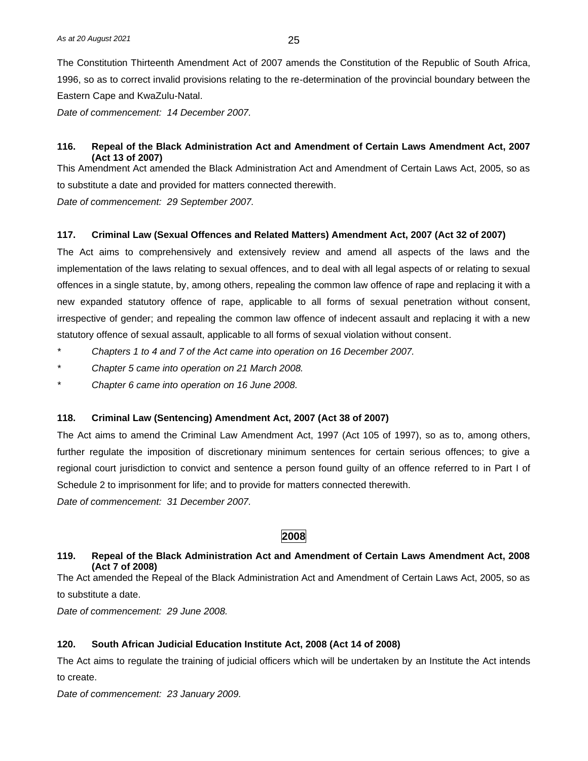The Constitution Thirteenth Amendment Act of 2007 amends the Constitution of the Republic of South Africa, 1996, so as to correct invalid provisions relating to the re-determination of the provincial boundary between the Eastern Cape and KwaZulu-Natal.

*Date of commencement: 14 December 2007.*

## **116. Repeal of the Black Administration Act and Amendment of Certain Laws Amendment Act, 2007 (Act 13 of 2007)**

This Amendment Act amended the Black Administration Act and Amendment of Certain Laws Act, 2005, so as to substitute a date and provided for matters connected therewith.

*Date of commencement: 29 September 2007.*

#### **117. Criminal Law (Sexual Offences and Related Matters) Amendment Act, 2007 (Act 32 of 2007)**

The Act aims to comprehensively and extensively review and amend all aspects of the laws and the implementation of the laws relating to sexual offences, and to deal with all legal aspects of or relating to sexual offences in a single statute, by, among others, repealing the common law offence of rape and replacing it with a new expanded statutory offence of rape, applicable to all forms of sexual penetration without consent, irrespective of gender; and repealing the common law offence of indecent assault and replacing it with a new statutory offence of sexual assault, applicable to all forms of sexual violation without consent.

- *\* Chapters 1 to 4 and 7 of the Act came into operation on 16 December 2007.*
- *\* Chapter 5 came into operation on 21 March 2008.*
- *\* Chapter 6 came into operation on 16 June 2008.*

#### **118. Criminal Law (Sentencing) Amendment Act, 2007 (Act 38 of 2007)**

The Act aims to amend the Criminal Law Amendment Act, 1997 (Act 105 of 1997), so as to, among others, further regulate the imposition of discretionary minimum sentences for certain serious offences; to give a regional court jurisdiction to convict and sentence a person found guilty of an offence referred to in Part I of Schedule 2 to imprisonment for life; and to provide for matters connected therewith.

*Date of commencement: 31 December 2007.*

# **2008**

# **119. Repeal of the Black Administration Act and Amendment of Certain Laws Amendment Act, 2008 (Act 7 of 2008)**

The Act amended the Repeal of the Black Administration Act and Amendment of Certain Laws Act, 2005, so as to substitute a date.

*Date of commencement: 29 June 2008.*

#### **120. South African Judicial Education Institute Act, 2008 (Act 14 of 2008)**

The Act aims to regulate the training of judicial officers which will be undertaken by an Institute the Act intends to create.

*Date of commencement: 23 January 2009.*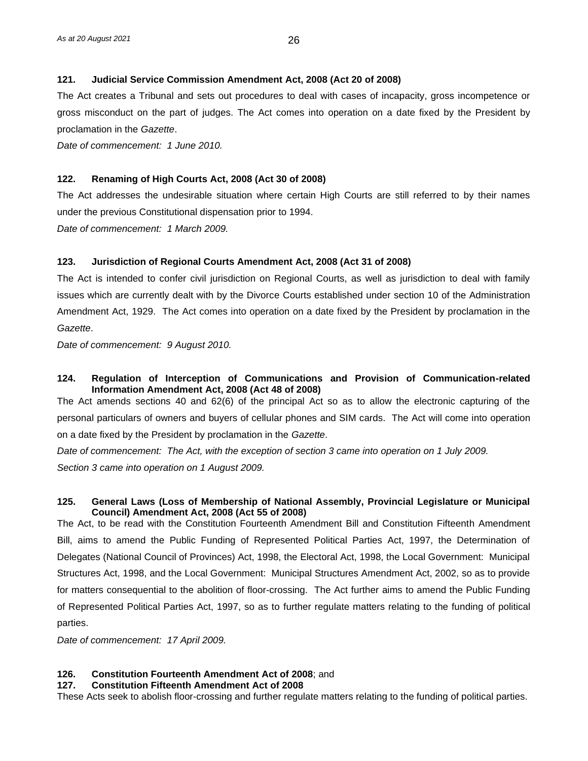# **121. Judicial Service Commission Amendment Act, 2008 (Act 20 of 2008)**

The Act creates a Tribunal and sets out procedures to deal with cases of incapacity, gross incompetence or gross misconduct on the part of judges. The Act comes into operation on a date fixed by the President by proclamation in the *Gazette*.

*Date of commencement: 1 June 2010.*

## **122. Renaming of High Courts Act, 2008 (Act 30 of 2008)**

The Act addresses the undesirable situation where certain High Courts are still referred to by their names under the previous Constitutional dispensation prior to 1994.

*Date of commencement: 1 March 2009.*

# **123. Jurisdiction of Regional Courts Amendment Act, 2008 (Act 31 of 2008)**

The Act is intended to confer civil jurisdiction on Regional Courts, as well as jurisdiction to deal with family issues which are currently dealt with by the Divorce Courts established under section 10 of the Administration Amendment Act, 1929. The Act comes into operation on a date fixed by the President by proclamation in the *Gazette*.

*Date of commencement: 9 August 2010.* 

#### **124. Regulation of Interception of Communications and Provision of Communication-related Information Amendment Act, 2008 (Act 48 of 2008)**

The Act amends sections 40 and 62(6) of the principal Act so as to allow the electronic capturing of the personal particulars of owners and buyers of cellular phones and SIM cards. The Act will come into operation on a date fixed by the President by proclamation in the *Gazette*.

*Date of commencement: The Act, with the exception of section 3 came into operation on 1 July 2009. Section 3 came into operation on 1 August 2009.*

#### **125. General Laws (Loss of Membership of National Assembly, Provincial Legislature or Municipal Council) Amendment Act, 2008 (Act 55 of 2008)**

The Act, to be read with the Constitution Fourteenth Amendment Bill and Constitution Fifteenth Amendment Bill, aims to amend the Public Funding of Represented Political Parties Act, 1997, the Determination of Delegates (National Council of Provinces) Act, 1998, the Electoral Act, 1998, the Local Government: Municipal Structures Act, 1998, and the Local Government: Municipal Structures Amendment Act, 2002, so as to provide for matters consequential to the abolition of floor-crossing. The Act further aims to amend the Public Funding of Represented Political Parties Act, 1997, so as to further regulate matters relating to the funding of political parties.

*Date of commencement: 17 April 2009.*

#### **126. Constitution Fourteenth Amendment Act of 2008**; and

#### **127. Constitution Fifteenth Amendment Act of 2008**

These Acts seek to abolish floor-crossing and further regulate matters relating to the funding of political parties.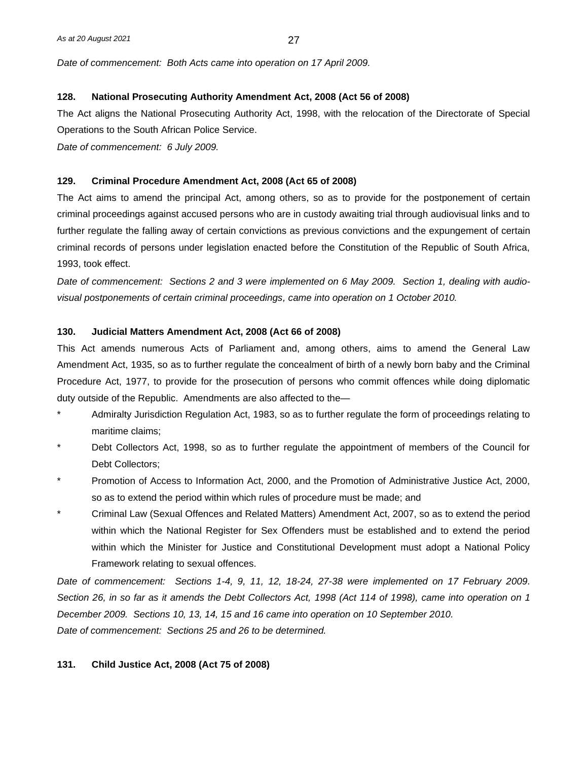*Date of commencement: Both Acts came into operation on 17 April 2009.*

#### **128. National Prosecuting Authority Amendment Act, 2008 (Act 56 of 2008)**

The Act aligns the National Prosecuting Authority Act, 1998, with the relocation of the Directorate of Special Operations to the South African Police Service.

*Date of commencement: 6 July 2009.*

#### **129. Criminal Procedure Amendment Act, 2008 (Act 65 of 2008)**

The Act aims to amend the principal Act, among others, so as to provide for the postponement of certain criminal proceedings against accused persons who are in custody awaiting trial through audiovisual links and to further regulate the falling away of certain convictions as previous convictions and the expungement of certain criminal records of persons under legislation enacted before the Constitution of the Republic of South Africa, 1993, took effect.

*Date of commencement: Sections 2 and 3 were implemented on 6 May 2009. Section 1, dealing with audiovisual postponements of certain criminal proceedings, came into operation on 1 October 2010.*

#### **130. Judicial Matters Amendment Act, 2008 (Act 66 of 2008)**

This Act amends numerous Acts of Parliament and, among others, aims to amend the General Law Amendment Act, 1935, so as to further regulate the concealment of birth of a newly born baby and the Criminal Procedure Act, 1977, to provide for the prosecution of persons who commit offences while doing diplomatic duty outside of the Republic. Amendments are also affected to the—

- \* Admiralty Jurisdiction Regulation Act, 1983, so as to further regulate the form of proceedings relating to maritime claims;
- Debt Collectors Act, 1998, so as to further regulate the appointment of members of the Council for Debt Collectors;
- \* Promotion of Access to Information Act, 2000, and the Promotion of Administrative Justice Act, 2000, so as to extend the period within which rules of procedure must be made; and
- \* Criminal Law (Sexual Offences and Related Matters) Amendment Act, 2007, so as to extend the period within which the National Register for Sex Offenders must be established and to extend the period within which the Minister for Justice and Constitutional Development must adopt a National Policy Framework relating to sexual offences.

*Date of commencement: Sections 1-4, 9, 11, 12, 18-24, 27-38 were implemented on 17 February 2009. Section 26, in so far as it amends the Debt Collectors Act, 1998 (Act 114 of 1998), came into operation on 1 December 2009. Sections 10, 13, 14, 15 and 16 came into operation on 10 September 2010. Date of commencement: Sections 25 and 26 to be determined.*

#### **131. Child Justice Act, 2008 (Act 75 of 2008)**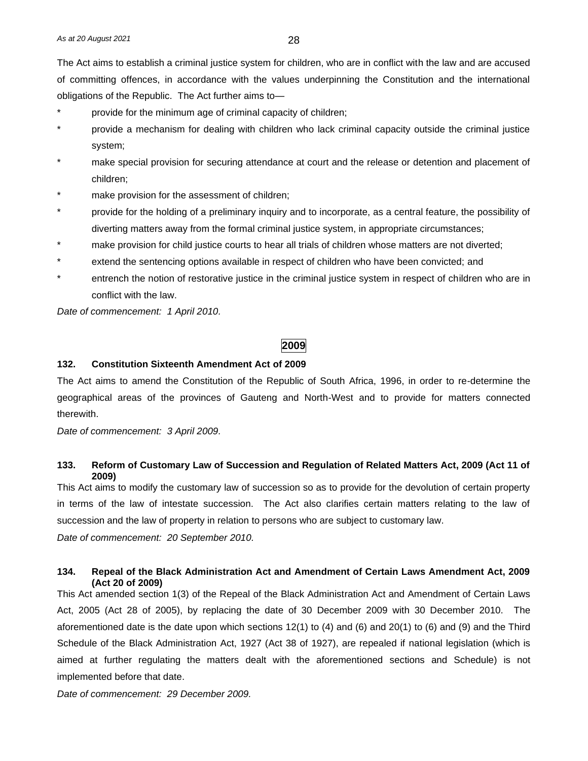The Act aims to establish a criminal justice system for children, who are in conflict with the law and are accused of committing offences, in accordance with the values underpinning the Constitution and the international obligations of the Republic. The Act further aims to—

- provide for the minimum age of criminal capacity of children;
- provide a mechanism for dealing with children who lack criminal capacity outside the criminal justice system;
- make special provision for securing attendance at court and the release or detention and placement of children;
- make provision for the assessment of children;
- provide for the holding of a preliminary inquiry and to incorporate, as a central feature, the possibility of diverting matters away from the formal criminal justice system, in appropriate circumstances;
- make provision for child justice courts to hear all trials of children whose matters are not diverted;
- extend the sentencing options available in respect of children who have been convicted; and
- entrench the notion of restorative justice in the criminal justice system in respect of children who are in conflict with the law.

*Date of commencement: 1 April 2010.*

# **2009**

#### **132. Constitution Sixteenth Amendment Act of 2009**

The Act aims to amend the Constitution of the Republic of South Africa, 1996, in order to re-determine the geographical areas of the provinces of Gauteng and North-West and to provide for matters connected therewith.

*Date of commencement: 3 April 2009.*

# **133. Reform of Customary Law of Succession and Regulation of Related Matters Act, 2009 (Act 11 of 2009)**

This Act aims to modify the customary law of succession so as to provide for the devolution of certain property in terms of the law of intestate succession. The Act also clarifies certain matters relating to the law of succession and the law of property in relation to persons who are subject to customary law.

*Date of commencement: 20 September 2010.*

# **134. Repeal of the Black Administration Act and Amendment of Certain Laws Amendment Act, 2009 (Act 20 of 2009)**

This Act amended section 1(3) of the Repeal of the Black Administration Act and Amendment of Certain Laws Act, 2005 (Act 28 of 2005), by replacing the date of 30 December 2009 with 30 December 2010. The aforementioned date is the date upon which sections 12(1) to (4) and (6) and 20(1) to (6) and (9) and the Third Schedule of the Black Administration Act, 1927 (Act 38 of 1927), are repealed if national legislation (which is aimed at further regulating the matters dealt with the aforementioned sections and Schedule) is not implemented before that date.

*Date of commencement: 29 December 2009.*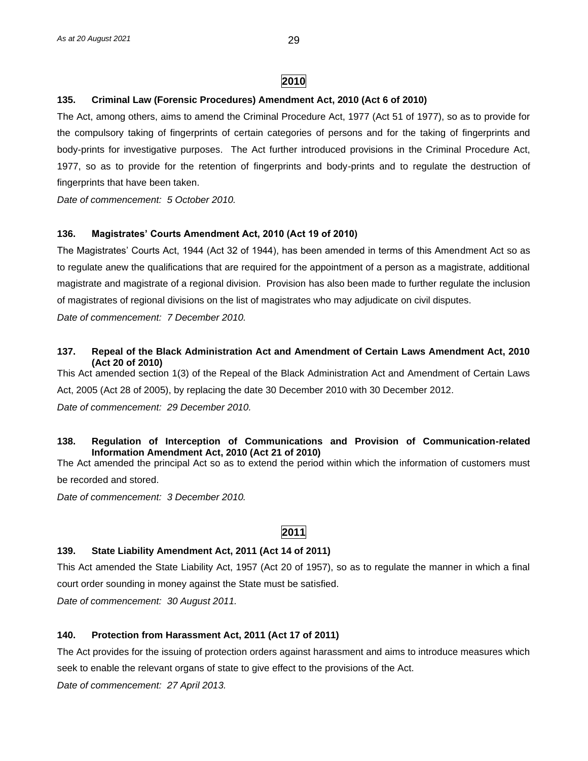# **2010**

# **135. Criminal Law (Forensic Procedures) Amendment Act, 2010 (Act 6 of 2010)**

The Act, among others, aims to amend the Criminal Procedure Act, 1977 (Act 51 of 1977), so as to provide for the compulsory taking of fingerprints of certain categories of persons and for the taking of fingerprints and body-prints for investigative purposes. The Act further introduced provisions in the Criminal Procedure Act, 1977, so as to provide for the retention of fingerprints and body-prints and to regulate the destruction of fingerprints that have been taken.

*Date of commencement: 5 October 2010.*

# **136. Magistrates' Courts Amendment Act, 2010 (Act 19 of 2010)**

The Magistrates' Courts Act, 1944 (Act 32 of 1944), has been amended in terms of this Amendment Act so as to regulate anew the qualifications that are required for the appointment of a person as a magistrate, additional magistrate and magistrate of a regional division. Provision has also been made to further regulate the inclusion of magistrates of regional divisions on the list of magistrates who may adjudicate on civil disputes.

*Date of commencement: 7 December 2010.*

# **137. Repeal of the Black Administration Act and Amendment of Certain Laws Amendment Act, 2010 (Act 20 of 2010)**

This Act amended section 1(3) of the Repeal of the Black Administration Act and Amendment of Certain Laws Act, 2005 (Act 28 of 2005), by replacing the date 30 December 2010 with 30 December 2012.

*Date of commencement: 29 December 2010.*

# **138. Regulation of Interception of Communications and Provision of Communication-related Information Amendment Act, 2010 (Act 21 of 2010)**

The Act amended the principal Act so as to extend the period within which the information of customers must be recorded and stored.

*Date of commencement: 3 December 2010.*

# **2011**

#### **139. State Liability Amendment Act, 2011 (Act 14 of 2011)**

This Act amended the State Liability Act, 1957 (Act 20 of 1957), so as to regulate the manner in which a final court order sounding in money against the State must be satisfied.

*Date of commencement: 30 August 2011.*

#### **140. Protection from Harassment Act, 2011 (Act 17 of 2011)**

The Act provides for the issuing of protection orders against harassment and aims to introduce measures which seek to enable the relevant organs of state to give effect to the provisions of the Act.

*Date of commencement: 27 April 2013.*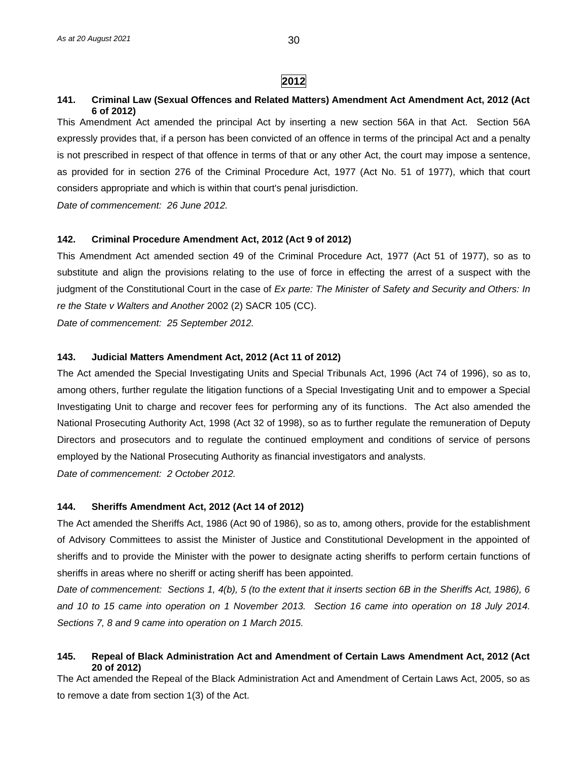**2012**

#### **141. Criminal Law (Sexual Offences and Related Matters) Amendment Act Amendment Act, 2012 (Act 6 of 2012)**

This Amendment Act amended the principal Act by inserting a new section 56A in that Act. Section 56A expressly provides that, if a person has been convicted of an offence in terms of the principal Act and a penalty is not prescribed in respect of that offence in terms of that or any other Act, the court may impose a sentence, as provided for in section 276 of the Criminal Procedure Act, 1977 (Act No. 51 of 1977), which that court considers appropriate and which is within that court's penal jurisdiction.

*Date of commencement: 26 June 2012.*

#### **142. Criminal Procedure Amendment Act, 2012 (Act 9 of 2012)**

This Amendment Act amended section 49 of the Criminal Procedure Act, 1977 (Act 51 of 1977), so as to substitute and align the provisions relating to the use of force in effecting the arrest of a suspect with the judgment of the Constitutional Court in the case of *Ex parte: The Minister of Safety and Security and Others: In re the State v Walters and Another* 2002 (2) SACR 105 (CC).

*Date of commencement: 25 September 2012.*

#### **143. Judicial Matters Amendment Act, 2012 (Act 11 of 2012)**

The Act amended the Special Investigating Units and Special Tribunals Act, 1996 (Act 74 of 1996), so as to, among others, further regulate the litigation functions of a Special Investigating Unit and to empower a Special Investigating Unit to charge and recover fees for performing any of its functions. The Act also amended the National Prosecuting Authority Act, 1998 (Act 32 of 1998), so as to further regulate the remuneration of Deputy Directors and prosecutors and to regulate the continued employment and conditions of service of persons employed by the National Prosecuting Authority as financial investigators and analysts. *Date of commencement: 2 October 2012.*

# **144. Sheriffs Amendment Act, 2012 (Act 14 of 2012)**

The Act amended the Sheriffs Act, 1986 (Act 90 of 1986), so as to, among others, provide for the establishment of Advisory Committees to assist the Minister of Justice and Constitutional Development in the appointed of sheriffs and to provide the Minister with the power to designate acting sheriffs to perform certain functions of sheriffs in areas where no sheriff or acting sheriff has been appointed.

*Date of commencement: Sections 1, 4(b), 5 (to the extent that it inserts section 6B in the Sheriffs Act, 1986), 6 and 10 to 15 came into operation on 1 November 2013. Section 16 came into operation on 18 July 2014. Sections 7, 8 and 9 came into operation on 1 March 2015.* 

#### **145. Repeal of Black Administration Act and Amendment of Certain Laws Amendment Act, 2012 (Act 20 of 2012)**

The Act amended the Repeal of the Black Administration Act and Amendment of Certain Laws Act, 2005, so as to remove a date from section 1(3) of the Act.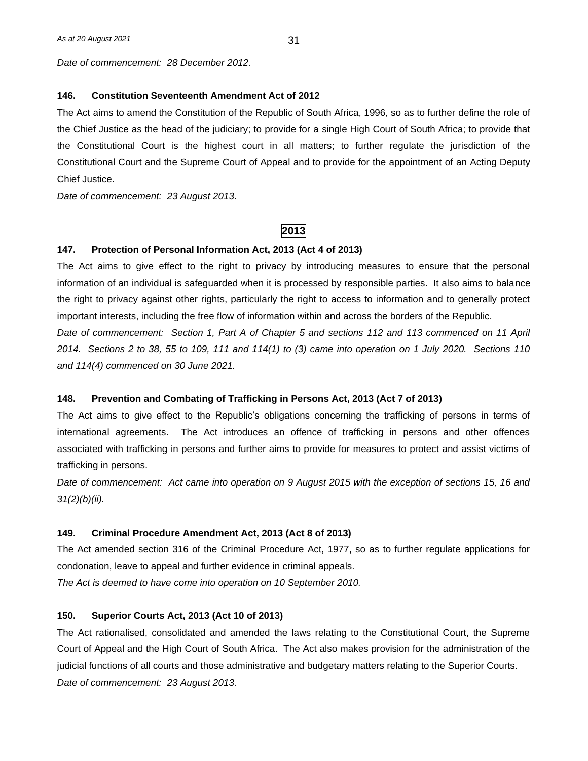*Date of commencement: 28 December 2012.*

#### **146. Constitution Seventeenth Amendment Act of 2012**

The Act aims to amend the Constitution of the Republic of South Africa, 1996, so as to further define the role of the Chief Justice as the head of the judiciary; to provide for a single High Court of South Africa; to provide that the Constitutional Court is the highest court in all matters; to further regulate the jurisdiction of the Constitutional Court and the Supreme Court of Appeal and to provide for the appointment of an Acting Deputy Chief Justice.

*Date of commencement: 23 August 2013.*

# **2013**

#### **147. Protection of Personal Information Act, 2013 (Act 4 of 2013)**

The Act aims to give effect to the right to privacy by introducing measures to ensure that the personal information of an individual is safeguarded when it is processed by responsible parties. It also aims to balance the right to privacy against other rights, particularly the right to access to information and to generally protect important interests, including the free flow of information within and across the borders of the Republic. *Date of commencement: Section 1, Part A of Chapter 5 and sections 112 and 113 commenced on 11 April 2014. Sections 2 to 38, 55 to 109, 111 and 114(1) to (3) came into operation on 1 July 2020. Sections 110 and 114(4) commenced on 30 June 2021.*

#### **148. Prevention and Combating of Trafficking in Persons Act, 2013 (Act 7 of 2013)**

The Act aims to give effect to the Republic's obligations concerning the trafficking of persons in terms of international agreements. The Act introduces an offence of trafficking in persons and other offences associated with trafficking in persons and further aims to provide for measures to protect and assist victims of trafficking in persons.

*Date of commencement: Act came into operation on 9 August 2015 with the exception of sections 15, 16 and 31(2)(b)(ii).* 

#### **149. Criminal Procedure Amendment Act, 2013 (Act 8 of 2013)**

The Act amended section 316 of the Criminal Procedure Act, 1977, so as to further regulate applications for condonation, leave to appeal and further evidence in criminal appeals.

*The Act is deemed to have come into operation on 10 September 2010.*

# **150. Superior Courts Act, 2013 (Act 10 of 2013)**

The Act rationalised, consolidated and amended the laws relating to the Constitutional Court, the Supreme Court of Appeal and the High Court of South Africa. The Act also makes provision for the administration of the judicial functions of all courts and those administrative and budgetary matters relating to the Superior Courts. *Date of commencement: 23 August 2013.*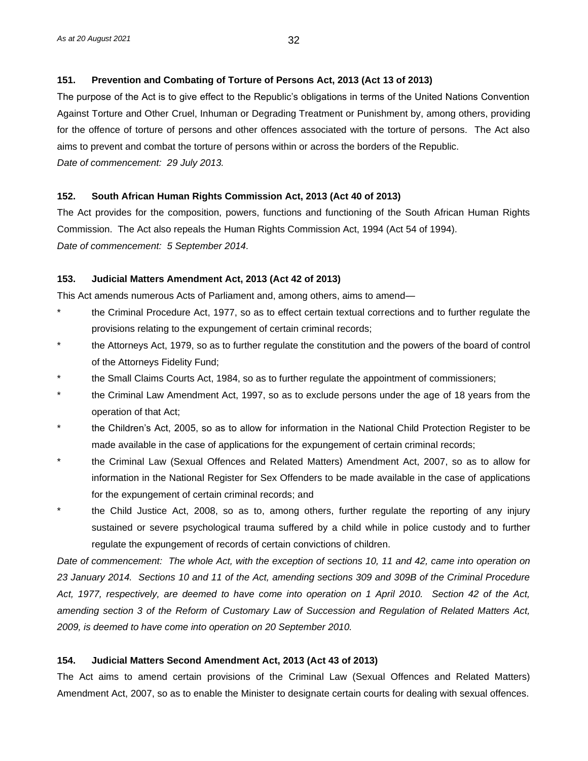# **151. Prevention and Combating of Torture of Persons Act, 2013 (Act 13 of 2013)**

The purpose of the Act is to give effect to the Republic's obligations in terms of the United Nations Convention Against Torture and Other Cruel, Inhuman or Degrading Treatment or Punishment by, among others, providing for the offence of torture of persons and other offences associated with the torture of persons. The Act also aims to prevent and combat the torture of persons within or across the borders of the Republic. *Date of commencement: 29 July 2013.*

# **152. South African Human Rights Commission Act, 2013 (Act 40 of 2013)**

The Act provides for the composition, powers, functions and functioning of the South African Human Rights Commission. The Act also repeals the Human Rights Commission Act, 1994 (Act 54 of 1994). *Date of commencement: 5 September 2014.*

# **153. Judicial Matters Amendment Act, 2013 (Act 42 of 2013)**

This Act amends numerous Acts of Parliament and, among others, aims to amend—

- \* the Criminal Procedure Act, 1977, so as to effect certain textual corrections and to further regulate the provisions relating to the expungement of certain criminal records;
- the Attorneys Act, 1979, so as to further regulate the constitution and the powers of the board of control of the Attorneys Fidelity Fund;
- the Small Claims Courts Act, 1984, so as to further regulate the appointment of commissioners;
- the Criminal Law Amendment Act, 1997, so as to exclude persons under the age of 18 years from the operation of that Act;
- the Children's Act, 2005, so as to allow for information in the National Child Protection Register to be made available in the case of applications for the expungement of certain criminal records;
- the Criminal Law (Sexual Offences and Related Matters) Amendment Act, 2007, so as to allow for information in the National Register for Sex Offenders to be made available in the case of applications for the expungement of certain criminal records; and
- the Child Justice Act, 2008, so as to, among others, further regulate the reporting of any injury sustained or severe psychological trauma suffered by a child while in police custody and to further regulate the expungement of records of certain convictions of children.

*Date of commencement: The whole Act, with the exception of sections 10, 11 and 42, came into operation on 23 January 2014. Sections 10 and 11 of the Act, amending sections 309 and 309B of the Criminal Procedure Act, 1977, respectively, are deemed to have come into operation on 1 April 2010. Section 42 of the Act, amending section 3 of the Reform of Customary Law of Succession and Regulation of Related Matters Act, 2009, is deemed to have come into operation on 20 September 2010.*

# **154. Judicial Matters Second Amendment Act, 2013 (Act 43 of 2013)**

The Act aims to amend certain provisions of the Criminal Law (Sexual Offences and Related Matters) Amendment Act, 2007, so as to enable the Minister to designate certain courts for dealing with sexual offences.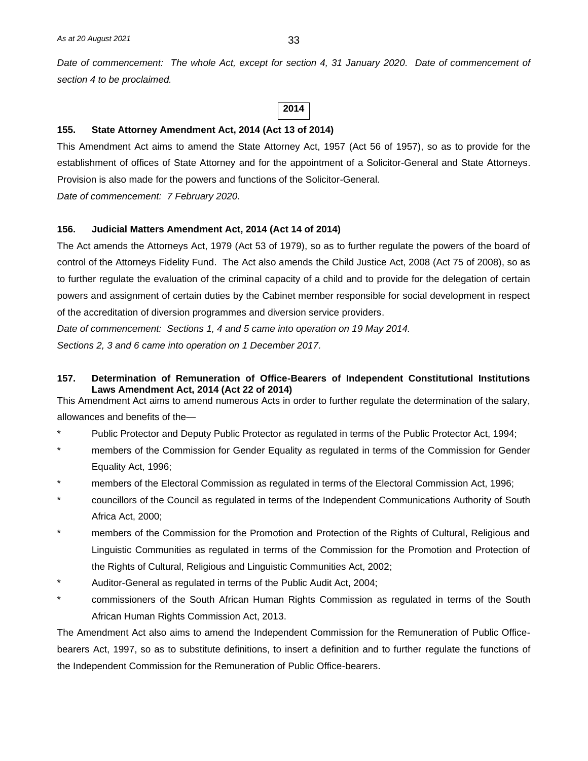*Date of commencement: The whole Act, except for section 4, 31 January 2020. Date of commencement of section 4 to be proclaimed.*

**2014**

#### **155. State Attorney Amendment Act, 2014 (Act 13 of 2014)**

This Amendment Act aims to amend the State Attorney Act, 1957 (Act 56 of 1957), so as to provide for the establishment of offices of State Attorney and for the appointment of a Solicitor-General and State Attorneys. Provision is also made for the powers and functions of the Solicitor-General.

*Date of commencement: 7 February 2020.*

#### **156. Judicial Matters Amendment Act, 2014 (Act 14 of 2014)**

The Act amends the Attorneys Act, 1979 (Act 53 of 1979), so as to further regulate the powers of the board of control of the Attorneys Fidelity Fund. The Act also amends the Child Justice Act, 2008 (Act 75 of 2008), so as to further regulate the evaluation of the criminal capacity of a child and to provide for the delegation of certain powers and assignment of certain duties by the Cabinet member responsible for social development in respect of the accreditation of diversion programmes and diversion service providers.

*Date of commencement: Sections 1, 4 and 5 came into operation on 19 May 2014. Sections 2, 3 and 6 came into operation on 1 December 2017.*

#### **157. Determination of Remuneration of Office-Bearers of Independent Constitutional Institutions Laws Amendment Act, 2014 (Act 22 of 2014)**

This Amendment Act aims to amend numerous Acts in order to further regulate the determination of the salary, allowances and benefits of the—

- \* Public Protector and Deputy Public Protector as regulated in terms of the Public Protector Act, 1994;
- members of the Commission for Gender Equality as regulated in terms of the Commission for Gender Equality Act, 1996;
- members of the Electoral Commission as regulated in terms of the Electoral Commission Act, 1996;
- councillors of the Council as regulated in terms of the Independent Communications Authority of South Africa Act, 2000;
- members of the Commission for the Promotion and Protection of the Rights of Cultural, Religious and Linguistic Communities as regulated in terms of the Commission for the Promotion and Protection of the Rights of Cultural, Religious and Linguistic Communities Act, 2002;
- Auditor-General as regulated in terms of the Public Audit Act, 2004;
- \* commissioners of the South African Human Rights Commission as regulated in terms of the South African Human Rights Commission Act, 2013.

The Amendment Act also aims to amend the Independent Commission for the Remuneration of Public Officebearers Act, 1997, so as to substitute definitions, to insert a definition and to further regulate the functions of the Independent Commission for the Remuneration of Public Office-bearers.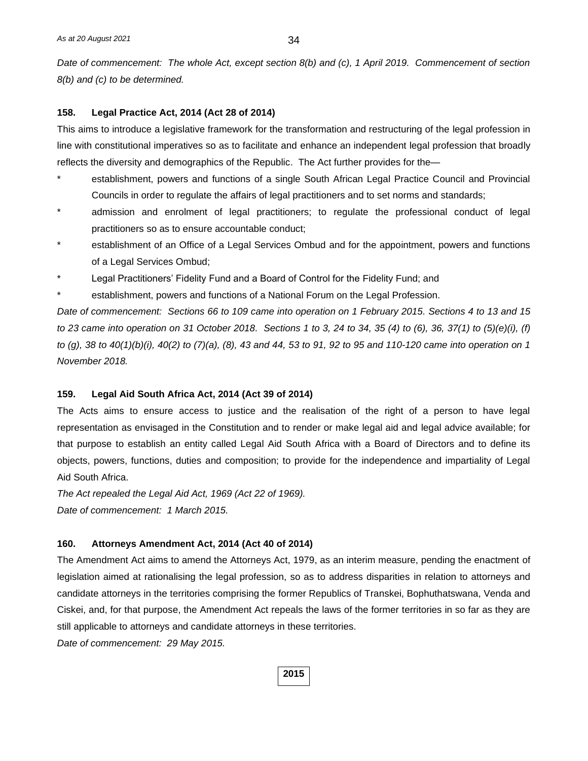*Date of commencement: The whole Act, except section 8(b) and (c), 1 April 2019. Commencement of section 8(b) and (c) to be determined.*

#### **158. Legal Practice Act, 2014 (Act 28 of 2014)**

This aims to introduce a legislative framework for the transformation and restructuring of the legal profession in line with constitutional imperatives so as to facilitate and enhance an independent legal profession that broadly reflects the diversity and demographics of the Republic. The Act further provides for the—

- establishment, powers and functions of a single South African Legal Practice Council and Provincial Councils in order to regulate the affairs of legal practitioners and to set norms and standards;
- admission and enrolment of legal practitioners; to regulate the professional conduct of legal practitioners so as to ensure accountable conduct;
- establishment of an Office of a Legal Services Ombud and for the appointment, powers and functions of a Legal Services Ombud;
- Legal Practitioners' Fidelity Fund and a Board of Control for the Fidelity Fund; and
- establishment, powers and functions of a National Forum on the Legal Profession.

*Date of commencement: Sections 66 to 109 came into operation on 1 February 2015. Sections 4 to 13 and 15 to 23 came into operation on 31 October 2018. Sections 1 to 3, 24 to 34, 35 (4) to (6), 36, 37(1) to (5)(e)(i), (f) to (g), 38 to 40(1)(b)(i), 40(2) to (7)(a), (8), 43 and 44, 53 to 91, 92 to 95 and 110-120 came into operation on 1 November 2018.* 

#### **159. Legal Aid South Africa Act, 2014 (Act 39 of 2014)**

The Acts aims to ensure access to justice and the realisation of the right of a person to have legal representation as envisaged in the Constitution and to render or make legal aid and legal advice available; for that purpose to establish an entity called Legal Aid South Africa with a Board of Directors and to define its objects, powers, functions, duties and composition; to provide for the independence and impartiality of Legal Aid South Africa.

*The Act repealed the Legal Aid Act, 1969 (Act 22 of 1969). Date of commencement: 1 March 2015.*

#### **160. Attorneys Amendment Act, 2014 (Act 40 of 2014)**

The Amendment Act aims to amend the Attorneys Act, 1979, as an interim measure, pending the enactment of legislation aimed at rationalising the legal profession, so as to address disparities in relation to attorneys and candidate attorneys in the territories comprising the former Republics of Transkei, Bophuthatswana, Venda and Ciskei, and, for that purpose, the Amendment Act repeals the laws of the former territories in so far as they are still applicable to attorneys and candidate attorneys in these territories.

*Date of commencement: 29 May 2015.*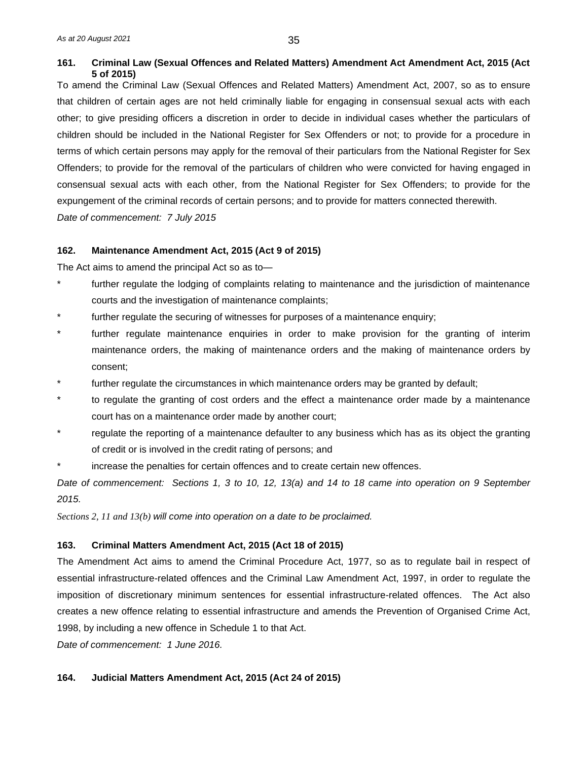# **161. Criminal Law (Sexual Offences and Related Matters) Amendment Act Amendment Act, 2015 (Act 5 of 2015)**

To amend the Criminal Law (Sexual Offences and Related Matters) Amendment Act, 2007, so as to ensure that children of certain ages are not held criminally liable for engaging in consensual sexual acts with each other; to give presiding officers a discretion in order to decide in individual cases whether the particulars of children should be included in the National Register for Sex Offenders or not; to provide for a procedure in terms of which certain persons may apply for the removal of their particulars from the National Register for Sex Offenders; to provide for the removal of the particulars of children who were convicted for having engaged in consensual sexual acts with each other, from the National Register for Sex Offenders; to provide for the expungement of the criminal records of certain persons; and to provide for matters connected therewith. *Date of commencement: 7 July 2015*

# **162. Maintenance Amendment Act, 2015 (Act 9 of 2015)**

The Act aims to amend the principal Act so as to—

- \* further regulate the lodging of complaints relating to maintenance and the jurisdiction of maintenance courts and the investigation of maintenance complaints;
- further regulate the securing of witnesses for purposes of a maintenance enquiry;
- further regulate maintenance enquiries in order to make provision for the granting of interim maintenance orders, the making of maintenance orders and the making of maintenance orders by consent;
- further regulate the circumstances in which maintenance orders may be granted by default;
- to regulate the granting of cost orders and the effect a maintenance order made by a maintenance court has on a maintenance order made by another court;
- regulate the reporting of a maintenance defaulter to any business which has as its object the granting of credit or is involved in the credit rating of persons; and
- increase the penalties for certain offences and to create certain new offences.

*Date of commencement: Sections 1, 3 to 10, 12, 13(a) and 14 to 18 came into operation on 9 September 2015.*

*Sections 2, 11 and 13(b) will come into operation on a date to be proclaimed.*

# **163. Criminal Matters Amendment Act, 2015 (Act 18 of 2015)**

The Amendment Act aims to amend the Criminal Procedure Act, 1977, so as to regulate bail in respect of essential infrastructure-related offences and the Criminal Law Amendment Act, 1997, in order to regulate the imposition of discretionary minimum sentences for essential infrastructure-related offences. The Act also creates a new offence relating to essential infrastructure and amends the Prevention of Organised Crime Act, 1998, by including a new offence in Schedule 1 to that Act.

*Date of commencement: 1 June 2016.*

# **164. Judicial Matters Amendment Act, 2015 (Act 24 of 2015)**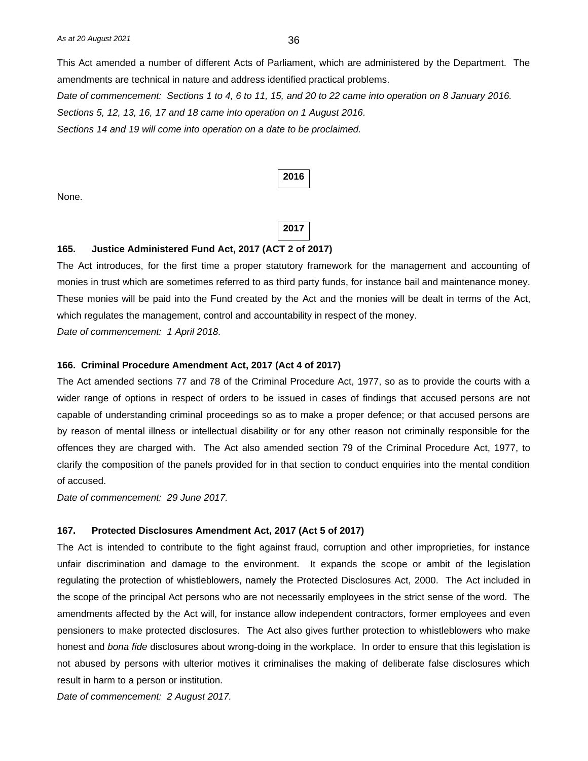This Act amended a number of different Acts of Parliament, which are administered by the Department. The amendments are technical in nature and address identified practical problems. *Date of commencement: Sections 1 to 4, 6 to 11, 15, and 20 to 22 came into operation on 8 January 2016. Sections 5, 12, 13, 16, 17 and 18 came into operation on 1 August 2016.*

*Sections 14 and 19 will come into operation on a date to be proclaimed.*

| × |
|---|
|---|

None.

# **2017**

#### **165. Justice Administered Fund Act, 2017 (ACT 2 of 2017)**

The Act introduces, for the first time a proper statutory framework for the management and accounting of monies in trust which are sometimes referred to as third party funds, for instance bail and maintenance money. These monies will be paid into the Fund created by the Act and the monies will be dealt in terms of the Act, which regulates the management, control and accountability in respect of the money.

*Date of commencement: 1 April 2018.*

#### **166. Criminal Procedure Amendment Act, 2017 (Act 4 of 2017)**

The Act amended sections 77 and 78 of the Criminal Procedure Act, 1977, so as to provide the courts with a wider range of options in respect of orders to be issued in cases of findings that accused persons are not capable of understanding criminal proceedings so as to make a proper defence; or that accused persons are by reason of mental illness or intellectual disability or for any other reason not criminally responsible for the offences they are charged with. The Act also amended section 79 of the Criminal Procedure Act, 1977, to clarify the composition of the panels provided for in that section to conduct enquiries into the mental condition of accused.

*Date of commencement: 29 June 2017.*

#### **167. Protected Disclosures Amendment Act, 2017 (Act 5 of 2017)**

The Act is intended to contribute to the fight against fraud, corruption and other improprieties, for instance unfair discrimination and damage to the environment. It expands the scope or ambit of the legislation regulating the protection of whistleblowers, namely the Protected Disclosures Act, 2000. The Act included in the scope of the principal Act persons who are not necessarily employees in the strict sense of the word. The amendments affected by the Act will, for instance allow independent contractors, former employees and even pensioners to make protected disclosures. The Act also gives further protection to whistleblowers who make honest and *bona fide* disclosures about wrong-doing in the workplace. In order to ensure that this legislation is not abused by persons with ulterior motives it criminalises the making of deliberate false disclosures which result in harm to a person or institution.

*Date of commencement: 2 August 2017.*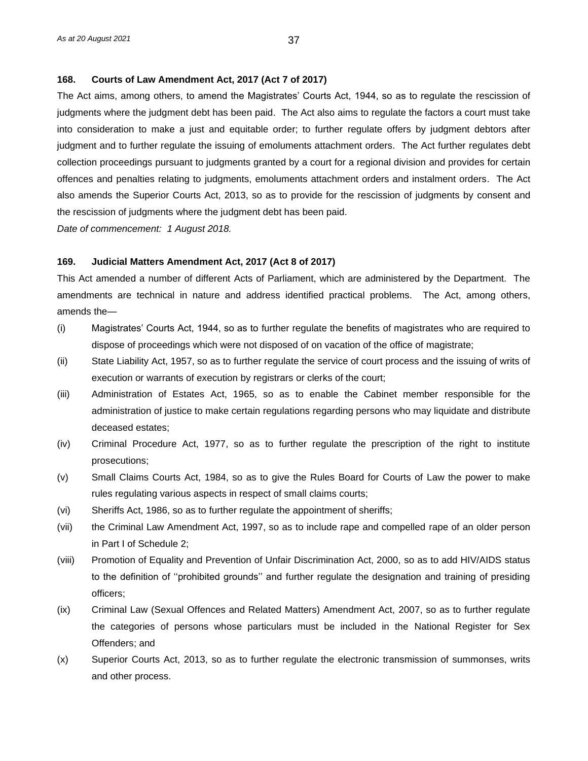#### **168. Courts of Law Amendment Act, 2017 (Act 7 of 2017)**

The Act aims, among others, to amend the Magistrates' Courts Act, 1944, so as to regulate the rescission of judgments where the judgment debt has been paid. The Act also aims to regulate the factors a court must take into consideration to make a just and equitable order; to further regulate offers by judgment debtors after judgment and to further regulate the issuing of emoluments attachment orders. The Act further regulates debt collection proceedings pursuant to judgments granted by a court for a regional division and provides for certain offences and penalties relating to judgments, emoluments attachment orders and instalment orders. The Act also amends the Superior Courts Act, 2013, so as to provide for the rescission of judgments by consent and the rescission of judgments where the judgment debt has been paid.

*Date of commencement: 1 August 2018.*

#### **169. Judicial Matters Amendment Act, 2017 (Act 8 of 2017)**

This Act amended a number of different Acts of Parliament, which are administered by the Department. The amendments are technical in nature and address identified practical problems. The Act, among others, amends the—

- (i) Magistrates' Courts Act, 1944, so as to further regulate the benefits of magistrates who are required to dispose of proceedings which were not disposed of on vacation of the office of magistrate;
- (ii) State Liability Act, 1957, so as to further regulate the service of court process and the issuing of writs of execution or warrants of execution by registrars or clerks of the court;
- (iii) Administration of Estates Act, 1965, so as to enable the Cabinet member responsible for the administration of justice to make certain regulations regarding persons who may liquidate and distribute deceased estates;
- (iv) Criminal Procedure Act, 1977, so as to further regulate the prescription of the right to institute prosecutions;
- (v) Small Claims Courts Act, 1984, so as to give the Rules Board for Courts of Law the power to make rules regulating various aspects in respect of small claims courts;
- (vi) Sheriffs Act, 1986, so as to further regulate the appointment of sheriffs;
- (vii) the Criminal Law Amendment Act, 1997, so as to include rape and compelled rape of an older person in Part I of Schedule 2;
- (viii) Promotion of Equality and Prevention of Unfair Discrimination Act, 2000, so as to add HIV/AIDS status to the definition of ''prohibited grounds'' and further regulate the designation and training of presiding officers;
- (ix) Criminal Law (Sexual Offences and Related Matters) Amendment Act, 2007, so as to further regulate the categories of persons whose particulars must be included in the National Register for Sex Offenders; and
- (x) Superior Courts Act, 2013, so as to further regulate the electronic transmission of summonses, writs and other process.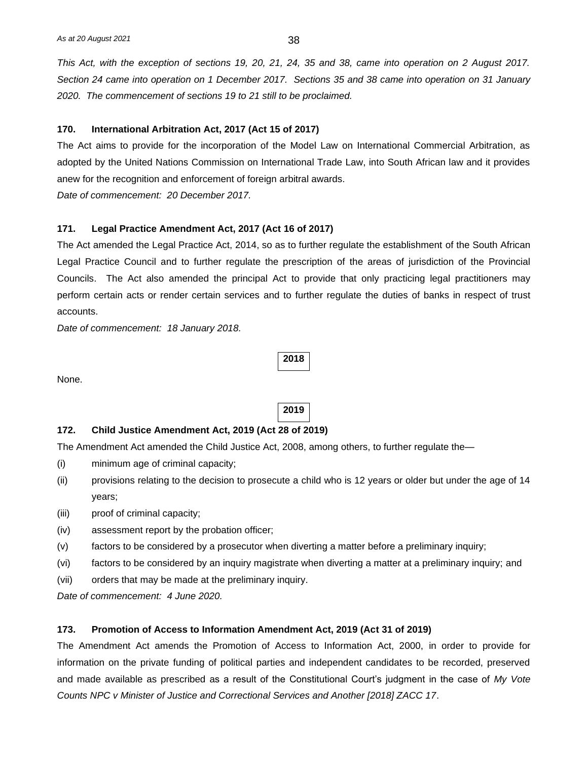*This Act, with the exception of sections 19, 20, 21, 24, 35 and 38, came into operation on 2 August 2017. Section 24 came into operation on 1 December 2017. Sections 35 and 38 came into operation on 31 January 2020. The commencement of sections 19 to 21 still to be proclaimed.*

#### **170. International Arbitration Act, 2017 (Act 15 of 2017)**

The Act aims to provide for the incorporation of the Model Law on International Commercial Arbitration, as adopted by the United Nations Commission on International Trade Law, into South African law and it provides anew for the recognition and enforcement of foreign arbitral awards.

*Date of commencement: 20 December 2017.*

#### **171. Legal Practice Amendment Act, 2017 (Act 16 of 2017)**

The Act amended the Legal Practice Act, 2014, so as to further regulate the establishment of the South African Legal Practice Council and to further regulate the prescription of the areas of jurisdiction of the Provincial Councils. The Act also amended the principal Act to provide that only practicing legal practitioners may perform certain acts or render certain services and to further regulate the duties of banks in respect of trust accounts.

*Date of commencement: 18 January 2018.*

```
None.
```
**2019**

**2018**

#### **172. Child Justice Amendment Act, 2019 (Act 28 of 2019)**

The Amendment Act amended the Child Justice Act, 2008, among others, to further regulate the—

- (i) minimum age of criminal capacity;
- (ii) provisions relating to the decision to prosecute a child who is 12 years or older but under the age of 14 years;
- (iii) proof of criminal capacity;
- (iv) assessment report by the probation officer;
- (v) factors to be considered by a prosecutor when diverting a matter before a preliminary inquiry;
- (vi) factors to be considered by an inquiry magistrate when diverting a matter at a preliminary inquiry; and
- (vii) orders that may be made at the preliminary inquiry.

*Date of commencement: 4 June 2020.*

#### **173. Promotion of Access to Information Amendment Act, 2019 (Act 31 of 2019)**

The Amendment Act amends the Promotion of Access to Information Act, 2000, in order to provide for information on the private funding of political parties and independent candidates to be recorded, preserved and made available as prescribed as a result of the Constitutional Court's judgment in the case of *My Vote Counts NPC v Minister of Justice and Correctional Services and Another [2018] ZACC 17*.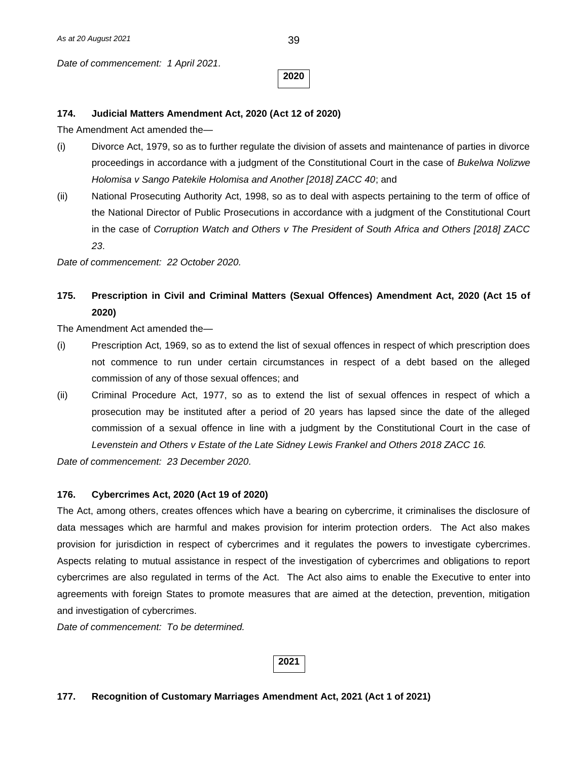*Date of commencement: 1 April 2021.*

**2020**

#### **174. Judicial Matters Amendment Act, 2020 (Act 12 of 2020)**

The Amendment Act amended the—

- (i) Divorce Act, 1979, so as to further regulate the division of assets and maintenance of parties in divorce proceedings in accordance with a judgment of the Constitutional Court in the case of *Bukelwa Nolizwe Holomisa v Sango Patekile Holomisa and Another [2018] ZACC 40*; and
- (ii) National Prosecuting Authority Act, 1998, so as to deal with aspects pertaining to the term of office of the National Director of Public Prosecutions in accordance with a judgment of the Constitutional Court in the case of *Corruption Watch and Others v The President of South Africa and Others [2018] ZACC 23*.

*Date of commencement: 22 October 2020.*

**175. Prescription in Civil and Criminal Matters (Sexual Offences) Amendment Act, 2020 (Act 15 of 2020)**

The Amendment Act amended the—

- (i) Prescription Act, 1969, so as to extend the list of sexual offences in respect of which prescription does not commence to run under certain circumstances in respect of a debt based on the alleged commission of any of those sexual offences; and
- (ii) Criminal Procedure Act, 1977, so as to extend the list of sexual offences in respect of which a prosecution may be instituted after a period of 20 years has lapsed since the date of the alleged commission of a sexual offence in line with a judgment by the Constitutional Court in the case of *Levenstein and Others v Estate of the Late Sidney Lewis Frankel and Others 2018 ZACC 16.*

*Date of commencement: 23 December 2020.*

#### **176. Cybercrimes Act, 2020 (Act 19 of 2020)**

The Act, among others, creates offences which have a bearing on cybercrime, it criminalises the disclosure of data messages which are harmful and makes provision for interim protection orders. The Act also makes provision for jurisdiction in respect of cybercrimes and it regulates the powers to investigate cybercrimes. Aspects relating to mutual assistance in respect of the investigation of cybercrimes and obligations to report cybercrimes are also regulated in terms of the Act. The Act also aims to enable the Executive to enter into agreements with foreign States to promote measures that are aimed at the detection, prevention, mitigation and investigation of cybercrimes.

*Date of commencement: To be determined.*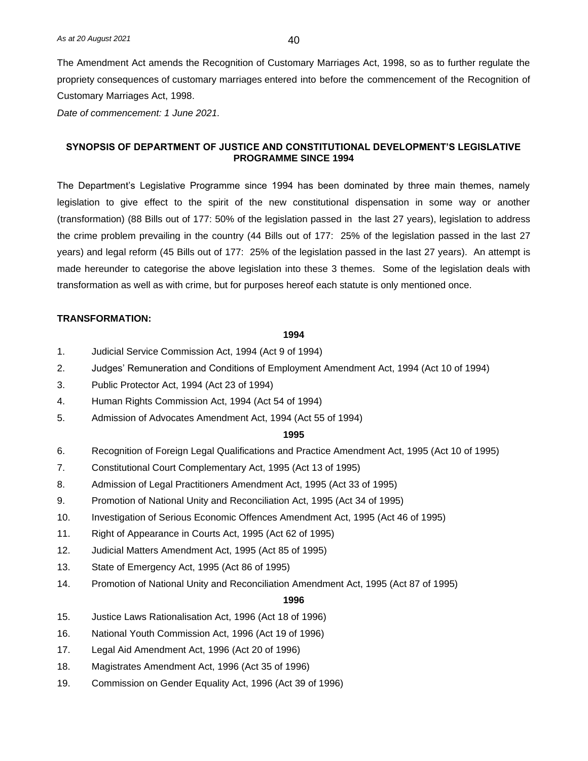The Amendment Act amends the Recognition of Customary Marriages Act, 1998, so as to further regulate the propriety consequences of customary marriages entered into before the commencement of the Recognition of Customary Marriages Act, 1998.

*Date of commencement: 1 June 2021.*

# **SYNOPSIS OF DEPARTMENT OF JUSTICE AND CONSTITUTIONAL DEVELOPMENT'S LEGISLATIVE PROGRAMME SINCE 1994**

The Department's Legislative Programme since 1994 has been dominated by three main themes, namely legislation to give effect to the spirit of the new constitutional dispensation in some way or another (transformation) (88 Bills out of 177: 50% of the legislation passed in the last 27 years), legislation to address the crime problem prevailing in the country (44 Bills out of 177: 25% of the legislation passed in the last 27 years) and legal reform (45 Bills out of 177: 25% of the legislation passed in the last 27 years). An attempt is made hereunder to categorise the above legislation into these 3 themes. Some of the legislation deals with transformation as well as with crime, but for purposes hereof each statute is only mentioned once.

#### **TRANSFORMATION:**

#### **1994**

- 1. Judicial Service Commission Act, 1994 (Act 9 of 1994)
- 2. Judges' Remuneration and Conditions of Employment Amendment Act, 1994 (Act 10 of 1994)
- 3. Public Protector Act, 1994 (Act 23 of 1994)
- 4. Human Rights Commission Act, 1994 (Act 54 of 1994)
- 5. Admission of Advocates Amendment Act, 1994 (Act 55 of 1994)

#### **1995**

- 6. Recognition of Foreign Legal Qualifications and Practice Amendment Act, 1995 (Act 10 of 1995)
- 7. Constitutional Court Complementary Act, 1995 (Act 13 of 1995)
- 8. Admission of Legal Practitioners Amendment Act, 1995 (Act 33 of 1995)
- 9. Promotion of National Unity and Reconciliation Act, 1995 (Act 34 of 1995)
- 10. Investigation of Serious Economic Offences Amendment Act, 1995 (Act 46 of 1995)
- 11. Right of Appearance in Courts Act, 1995 (Act 62 of 1995)
- 12. Judicial Matters Amendment Act, 1995 (Act 85 of 1995)
- 13. State of Emergency Act, 1995 (Act 86 of 1995)
- 14. Promotion of National Unity and Reconciliation Amendment Act, 1995 (Act 87 of 1995)

- 15. Justice Laws Rationalisation Act, 1996 (Act 18 of 1996)
- 16. National Youth Commission Act, 1996 (Act 19 of 1996)
- 17. Legal Aid Amendment Act, 1996 (Act 20 of 1996)
- 18. Magistrates Amendment Act, 1996 (Act 35 of 1996)
- 19. Commission on Gender Equality Act, 1996 (Act 39 of 1996)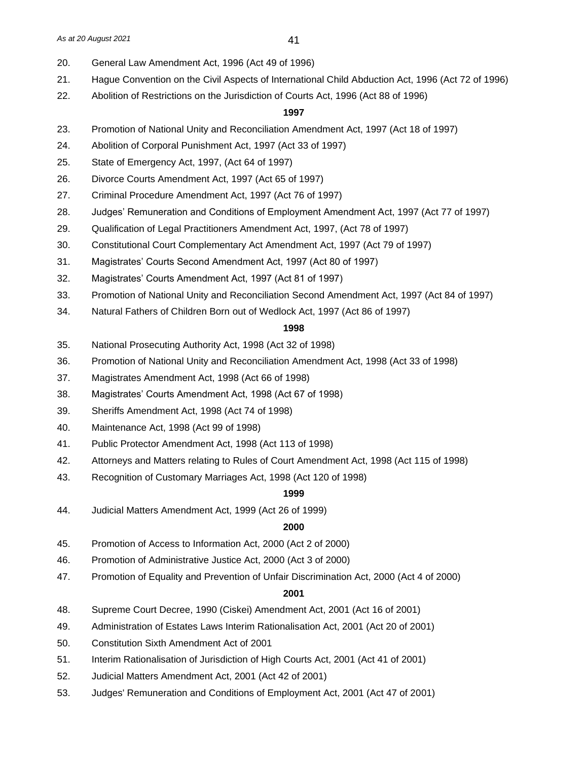- 20. General Law Amendment Act, 1996 (Act 49 of 1996)
- 21. Hague Convention on the Civil Aspects of International Child Abduction Act, 1996 (Act 72 of 1996)
- 22. Abolition of Restrictions on the Jurisdiction of Courts Act, 1996 (Act 88 of 1996)

#### **1997**

- 23. Promotion of National Unity and Reconciliation Amendment Act, 1997 (Act 18 of 1997)
- 24. Abolition of Corporal Punishment Act, 1997 (Act 33 of 1997)
- 25. State of Emergency Act, 1997, (Act 64 of 1997)
- 26. Divorce Courts Amendment Act, 1997 (Act 65 of 1997)
- 27. Criminal Procedure Amendment Act, 1997 (Act 76 of 1997)
- 28. Judges' Remuneration and Conditions of Employment Amendment Act, 1997 (Act 77 of 1997)
- 29. Qualification of Legal Practitioners Amendment Act, 1997, (Act 78 of 1997)
- 30. Constitutional Court Complementary Act Amendment Act, 1997 (Act 79 of 1997)
- 31. Magistrates' Courts Second Amendment Act, 1997 (Act 80 of 1997)
- 32. Magistrates' Courts Amendment Act, 1997 (Act 81 of 1997)
- 33. Promotion of National Unity and Reconciliation Second Amendment Act, 1997 (Act 84 of 1997)
- 34. Natural Fathers of Children Born out of Wedlock Act, 1997 (Act 86 of 1997)

#### **1998**

- 35. National Prosecuting Authority Act, 1998 (Act 32 of 1998)
- 36. Promotion of National Unity and Reconciliation Amendment Act, 1998 (Act 33 of 1998)
- 37. Magistrates Amendment Act, 1998 (Act 66 of 1998)
- 38. Magistrates' Courts Amendment Act, 1998 (Act 67 of 1998)
- 39. Sheriffs Amendment Act, 1998 (Act 74 of 1998)
- 40. Maintenance Act, 1998 (Act 99 of 1998)
- 41. Public Protector Amendment Act, 1998 (Act 113 of 1998)
- 42. Attorneys and Matters relating to Rules of Court Amendment Act, 1998 (Act 115 of 1998)
- 43. Recognition of Customary Marriages Act, 1998 (Act 120 of 1998)

#### **1999**

44. Judicial Matters Amendment Act, 1999 (Act 26 of 1999)

# **2000**

- 45. Promotion of Access to Information Act, 2000 (Act 2 of 2000)
- 46. Promotion of Administrative Justice Act, 2000 (Act 3 of 2000)
- 47. Promotion of Equality and Prevention of Unfair Discrimination Act, 2000 (Act 4 of 2000)

- 48. Supreme Court Decree, 1990 (Ciskei) Amendment Act, 2001 (Act 16 of 2001)
- 49. Administration of Estates Laws Interim Rationalisation Act, 2001 (Act 20 of 2001)
- 50. Constitution Sixth Amendment Act of 2001
- 51. Interim Rationalisation of Jurisdiction of High Courts Act, 2001 (Act 41 of 2001)
- 52. Judicial Matters Amendment Act, 2001 (Act 42 of 2001)
- 53. Judges' Remuneration and Conditions of Employment Act, 2001 (Act 47 of 2001)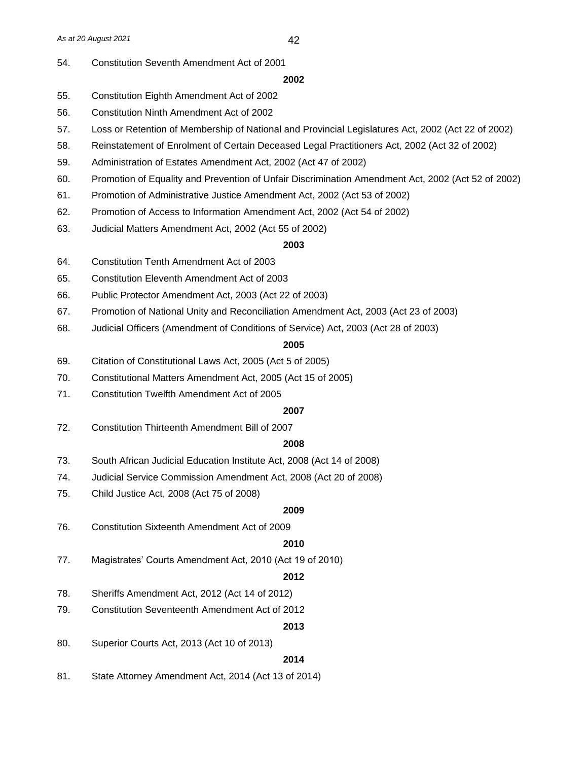54. Constitution Seventh Amendment Act of 2001

#### **2002**

- 55. Constitution Eighth Amendment Act of 2002
- 56. Constitution Ninth Amendment Act of 2002
- 57. Loss or Retention of Membership of National and Provincial Legislatures Act, 2002 (Act 22 of 2002)
- 58. Reinstatement of Enrolment of Certain Deceased Legal Practitioners Act, 2002 (Act 32 of 2002)
- 59. Administration of Estates Amendment Act, 2002 (Act 47 of 2002)
- 60. Promotion of Equality and Prevention of Unfair Discrimination Amendment Act, 2002 (Act 52 of 2002)
- 61. Promotion of Administrative Justice Amendment Act, 2002 (Act 53 of 2002)
- 62. Promotion of Access to Information Amendment Act, 2002 (Act 54 of 2002)
- 63. Judicial Matters Amendment Act, 2002 (Act 55 of 2002)

#### **2003**

- 64. Constitution Tenth Amendment Act of 2003
- 65. Constitution Eleventh Amendment Act of 2003
- 66. Public Protector Amendment Act, 2003 (Act 22 of 2003)
- 67. Promotion of National Unity and Reconciliation Amendment Act, 2003 (Act 23 of 2003)
- 68. Judicial Officers (Amendment of Conditions of Service) Act, 2003 (Act 28 of 2003)

#### **2005**

- 69. Citation of Constitutional Laws Act, 2005 (Act 5 of 2005)
- 70. Constitutional Matters Amendment Act, 2005 (Act 15 of 2005)
- 71. Constitution Twelfth Amendment Act of 2005

# **2007**

72. Constitution Thirteenth Amendment Bill of 2007

#### **2008**

- 73. South African Judicial Education Institute Act, 2008 (Act 14 of 2008)
- 74. Judicial Service Commission Amendment Act, 2008 (Act 20 of 2008)
- 75. Child Justice Act, 2008 (Act 75 of 2008)

#### **2009**

76. Constitution Sixteenth Amendment Act of 2009

#### **2010**

77. Magistrates' Courts Amendment Act, 2010 (Act 19 of 2010)

#### **2012**

- 78. Sheriffs Amendment Act, 2012 (Act 14 of 2012)
- 79. Constitution Seventeenth Amendment Act of 2012

#### **2013**

80. Superior Courts Act, 2013 (Act 10 of 2013)

#### **2014**

81. State Attorney Amendment Act, 2014 (Act 13 of 2014)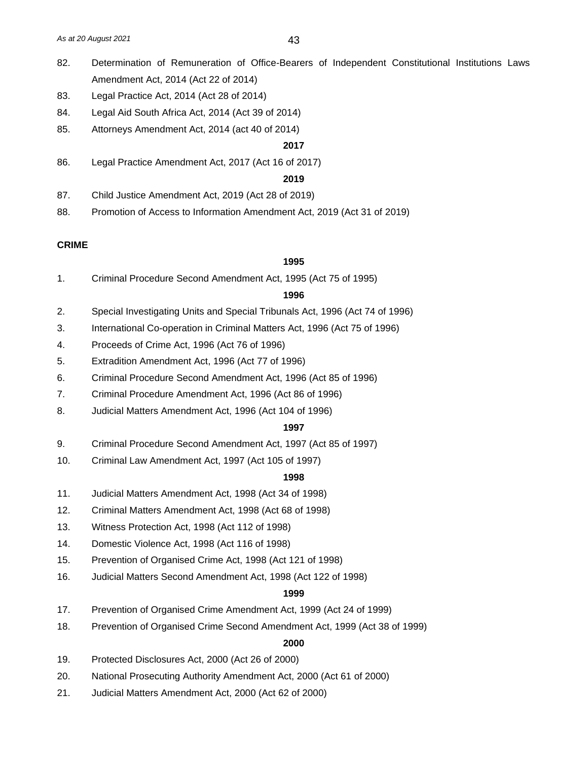- 82. Determination of Remuneration of Office-Bearers of Independent Constitutional Institutions Laws Amendment Act, 2014 (Act 22 of 2014)
- 83. Legal Practice Act, 2014 (Act 28 of 2014)
- 84. Legal Aid South Africa Act, 2014 (Act 39 of 2014)
- 85. Attorneys Amendment Act, 2014 (act 40 of 2014)

#### **2017**

86. Legal Practice Amendment Act, 2017 (Act 16 of 2017)

# **2019**

- 87. Child Justice Amendment Act, 2019 (Act 28 of 2019)
- 88. Promotion of Access to Information Amendment Act, 2019 (Act 31 of 2019)

#### **CRIME**

#### **1995**

1. Criminal Procedure Second Amendment Act, 1995 (Act 75 of 1995)

#### **1996**

- 2. Special Investigating Units and Special Tribunals Act, 1996 (Act 74 of 1996)
- 3. International Co-operation in Criminal Matters Act, 1996 (Act 75 of 1996)
- 4. Proceeds of Crime Act, 1996 (Act 76 of 1996)
- 5. Extradition Amendment Act, 1996 (Act 77 of 1996)
- 6. Criminal Procedure Second Amendment Act, 1996 (Act 85 of 1996)
- 7. Criminal Procedure Amendment Act, 1996 (Act 86 of 1996)
- 8. Judicial Matters Amendment Act, 1996 (Act 104 of 1996)

## **1997**

- 9. Criminal Procedure Second Amendment Act, 1997 (Act 85 of 1997)
- 10. Criminal Law Amendment Act, 1997 (Act 105 of 1997)

#### **1998**

- 11. Judicial Matters Amendment Act, 1998 (Act 34 of 1998)
- 12. Criminal Matters Amendment Act, 1998 (Act 68 of 1998)
- 13. Witness Protection Act, 1998 (Act 112 of 1998)
- 14. Domestic Violence Act, 1998 (Act 116 of 1998)
- 15. Prevention of Organised Crime Act, 1998 (Act 121 of 1998)
- 16. Judicial Matters Second Amendment Act, 1998 (Act 122 of 1998)

#### **1999**

- 17. Prevention of Organised Crime Amendment Act, 1999 (Act 24 of 1999)
- 18. Prevention of Organised Crime Second Amendment Act, 1999 (Act 38 of 1999)

- 19. Protected Disclosures Act, 2000 (Act 26 of 2000)
- 20. National Prosecuting Authority Amendment Act, 2000 (Act 61 of 2000)
- 21. Judicial Matters Amendment Act, 2000 (Act 62 of 2000)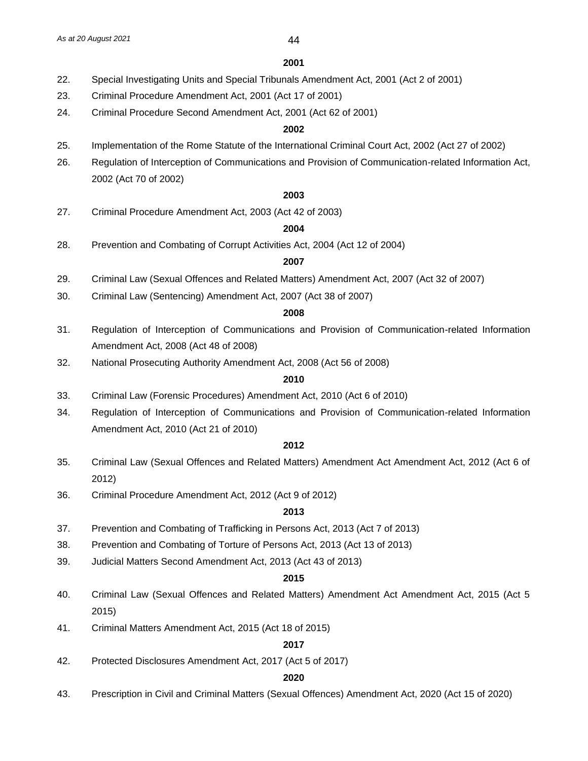#### **2001**

- 22. Special Investigating Units and Special Tribunals Amendment Act, 2001 (Act 2 of 2001)
- 23. Criminal Procedure Amendment Act, 2001 (Act 17 of 2001)
- 24. Criminal Procedure Second Amendment Act, 2001 (Act 62 of 2001)

#### **2002**

- 25. Implementation of the Rome Statute of the International Criminal Court Act, 2002 (Act 27 of 2002)
- 26. Regulation of Interception of Communications and Provision of Communication-related Information Act, 2002 (Act 70 of 2002)

# **2003**

27. Criminal Procedure Amendment Act, 2003 (Act 42 of 2003)

#### **2004**

28. Prevention and Combating of Corrupt Activities Act, 2004 (Act 12 of 2004)

#### **2007**

- 29. Criminal Law (Sexual Offences and Related Matters) Amendment Act, 2007 (Act 32 of 2007)
- 30. Criminal Law (Sentencing) Amendment Act, 2007 (Act 38 of 2007)

#### **2008**

- 31. Regulation of Interception of Communications and Provision of Communication-related Information Amendment Act, 2008 (Act 48 of 2008)
- 32. National Prosecuting Authority Amendment Act, 2008 (Act 56 of 2008)

#### **2010**

- 33. Criminal Law (Forensic Procedures) Amendment Act, 2010 (Act 6 of 2010)
- 34. Regulation of Interception of Communications and Provision of Communication-related Information Amendment Act, 2010 (Act 21 of 2010)

#### **2012**

- 35. Criminal Law (Sexual Offences and Related Matters) Amendment Act Amendment Act, 2012 (Act 6 of 2012)
- 36. Criminal Procedure Amendment Act, 2012 (Act 9 of 2012)

#### **2013**

- 37. Prevention and Combating of Trafficking in Persons Act, 2013 (Act 7 of 2013)
- 38. Prevention and Combating of Torture of Persons Act, 2013 (Act 13 of 2013)
- 39. Judicial Matters Second Amendment Act, 2013 (Act 43 of 2013)

#### **2015**

- 40. Criminal Law (Sexual Offences and Related Matters) Amendment Act Amendment Act, 2015 (Act 5 2015)
- 41. Criminal Matters Amendment Act, 2015 (Act 18 of 2015)

# **2017**

42. Protected Disclosures Amendment Act, 2017 (Act 5 of 2017)

#### **2020**

43. Prescription in Civil and Criminal Matters (Sexual Offences) Amendment Act, 2020 (Act 15 of 2020)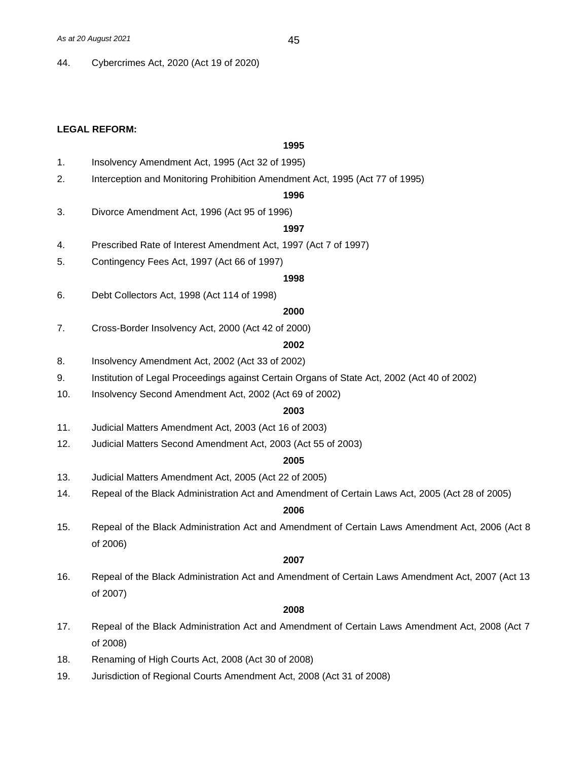44. Cybercrimes Act, 2020 (Act 19 of 2020)

#### **LEGAL REFORM:**

# **1995**

- 1. Insolvency Amendment Act, 1995 (Act 32 of 1995)
- 2. Interception and Monitoring Prohibition Amendment Act, 1995 (Act 77 of 1995)

#### **1996**

3. Divorce Amendment Act, 1996 (Act 95 of 1996)

#### **1997**

- 4. Prescribed Rate of Interest Amendment Act, 1997 (Act 7 of 1997)
- 5. Contingency Fees Act, 1997 (Act 66 of 1997)

#### **1998**

6. Debt Collectors Act, 1998 (Act 114 of 1998)

#### **2000**

7. Cross-Border Insolvency Act, 2000 (Act 42 of 2000)

#### **2002**

- 8. Insolvency Amendment Act, 2002 (Act 33 of 2002)
- 9. Institution of Legal Proceedings against Certain Organs of State Act, 2002 (Act 40 of 2002)
- 10. Insolvency Second Amendment Act, 2002 (Act 69 of 2002)

# **2003**

- 11. Judicial Matters Amendment Act, 2003 (Act 16 of 2003)
- 12. Judicial Matters Second Amendment Act, 2003 (Act 55 of 2003)

#### **2005**

- 13. Judicial Matters Amendment Act, 2005 (Act 22 of 2005)
- 14. Repeal of the Black Administration Act and Amendment of Certain Laws Act, 2005 (Act 28 of 2005)

#### **2006**

15. Repeal of the Black Administration Act and Amendment of Certain Laws Amendment Act, 2006 (Act 8 of 2006)

#### **2007**

16. Repeal of the Black Administration Act and Amendment of Certain Laws Amendment Act, 2007 (Act 13 of 2007)

- 17. Repeal of the Black Administration Act and Amendment of Certain Laws Amendment Act, 2008 (Act 7 of 2008)
- 18. Renaming of High Courts Act, 2008 (Act 30 of 2008)
- 19. Jurisdiction of Regional Courts Amendment Act, 2008 (Act 31 of 2008)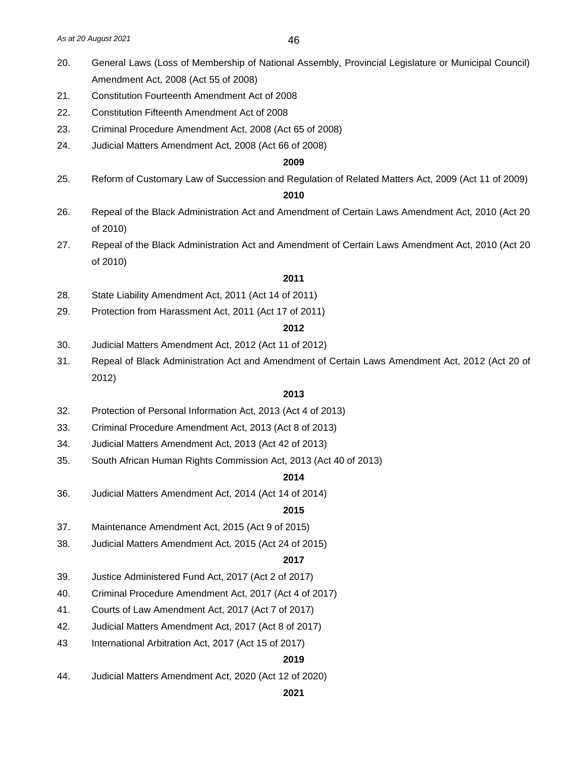- 20. General Laws (Loss of Membership of National Assembly, Provincial Legislature or Municipal Council) Amendment Act, 2008 (Act 55 of 2008)
- 21. Constitution Fourteenth Amendment Act of 2008
- 22. Constitution Fifteenth Amendment Act of 2008
- 23. Criminal Procedure Amendment Act, 2008 (Act 65 of 2008)
- 24. Judicial Matters Amendment Act, 2008 (Act 66 of 2008)

#### **2009**

25. Reform of Customary Law of Succession and Regulation of Related Matters Act, 2009 (Act 11 of 2009)

# **2010**

- 26. Repeal of the Black Administration Act and Amendment of Certain Laws Amendment Act, 2010 (Act 20 of 2010)
- 27. Repeal of the Black Administration Act and Amendment of Certain Laws Amendment Act, 2010 (Act 20 of 2010)

#### **2011**

- 28. State Liability Amendment Act, 2011 (Act 14 of 2011)
- 29. Protection from Harassment Act, 2011 (Act 17 of 2011)

#### **2012**

- 30. Judicial Matters Amendment Act, 2012 (Act 11 of 2012)
- 31. Repeal of Black Administration Act and Amendment of Certain Laws Amendment Act, 2012 (Act 20 of 2012)

#### **2013**

- 32. Protection of Personal Information Act, 2013 (Act 4 of 2013)
- 33. Criminal Procedure Amendment Act, 2013 (Act 8 of 2013)
- 34. Judicial Matters Amendment Act, 2013 (Act 42 of 2013)
- 35. South African Human Rights Commission Act, 2013 (Act 40 of 2013)

#### **2014**

36. Judicial Matters Amendment Act, 2014 (Act 14 of 2014)

#### **2015**

- 37. Maintenance Amendment Act, 2015 (Act 9 of 2015)
- 38. Judicial Matters Amendment Act, 2015 (Act 24 of 2015)

#### **2017**

- 39. Justice Administered Fund Act, 2017 (Act 2 of 2017)
- 40. Criminal Procedure Amendment Act, 2017 (Act 4 of 2017)
- 41. Courts of Law Amendment Act, 2017 (Act 7 of 2017)
- 42. Judicial Matters Amendment Act, 2017 (Act 8 of 2017)
- 43 International Arbitration Act, 2017 (Act 15 of 2017)

# **2019**

44. Judicial Matters Amendment Act, 2020 (Act 12 of 2020)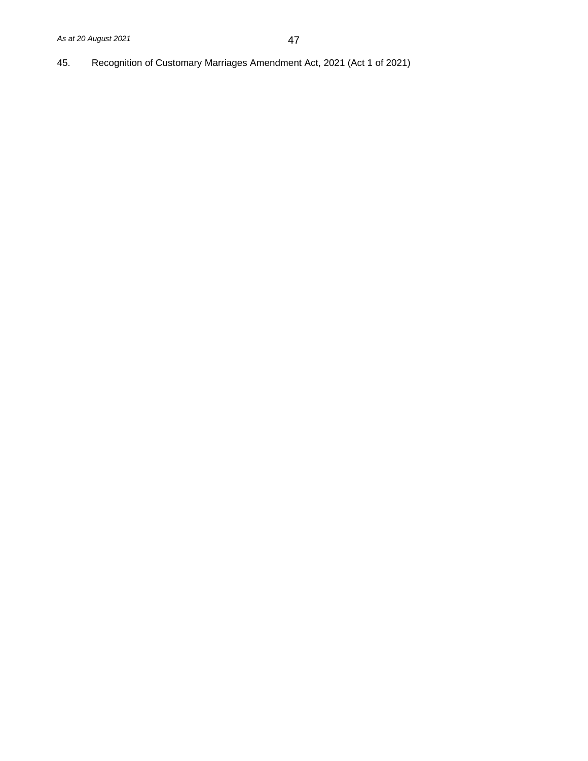45. Recognition of Customary Marriages Amendment Act, 2021 (Act 1 of 2021)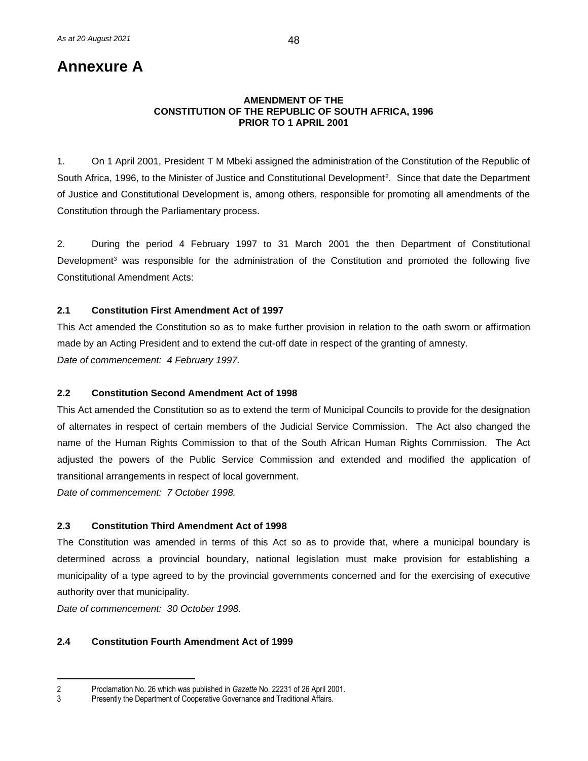# **Annexure A**

#### **AMENDMENT OF THE CONSTITUTION OF THE REPUBLIC OF SOUTH AFRICA, 1996 PRIOR TO 1 APRIL 2001**

1. On 1 April 2001, President T M Mbeki assigned the administration of the Constitution of the Republic of South Africa, 1996, to the Minister of Justice and Constitutional Development<sup>2</sup>. Since that date the Department of Justice and Constitutional Development is, among others, responsible for promoting all amendments of the Constitution through the Parliamentary process.

2. During the period 4 February 1997 to 31 March 2001 the then Department of Constitutional Development<sup>3</sup> was responsible for the administration of the Constitution and promoted the following five Constitutional Amendment Acts:

# **2.1 Constitution First Amendment Act of 1997**

This Act amended the Constitution so as to make further provision in relation to the oath sworn or affirmation made by an Acting President and to extend the cut-off date in respect of the granting of amnesty. *Date of commencement: 4 February 1997.*

#### **2.2 Constitution Second Amendment Act of 1998**

This Act amended the Constitution so as to extend the term of Municipal Councils to provide for the designation of alternates in respect of certain members of the Judicial Service Commission. The Act also changed the name of the Human Rights Commission to that of the South African Human Rights Commission. The Act adjusted the powers of the Public Service Commission and extended and modified the application of transitional arrangements in respect of local government.

*Date of commencement: 7 October 1998.*

#### **2.3 Constitution Third Amendment Act of 1998**

The Constitution was amended in terms of this Act so as to provide that, where a municipal boundary is determined across a provincial boundary, national legislation must make provision for establishing a municipality of a type agreed to by the provincial governments concerned and for the exercising of executive authority over that municipality.

*Date of commencement: 30 October 1998.*

# **2.4 Constitution Fourth Amendment Act of 1999**

<sup>2</sup> Proclamation No. 26 which was published in *Gazette* No. 22231 of 26 April 2001.

Presently the Department of Cooperative Governance and Traditional Affairs.